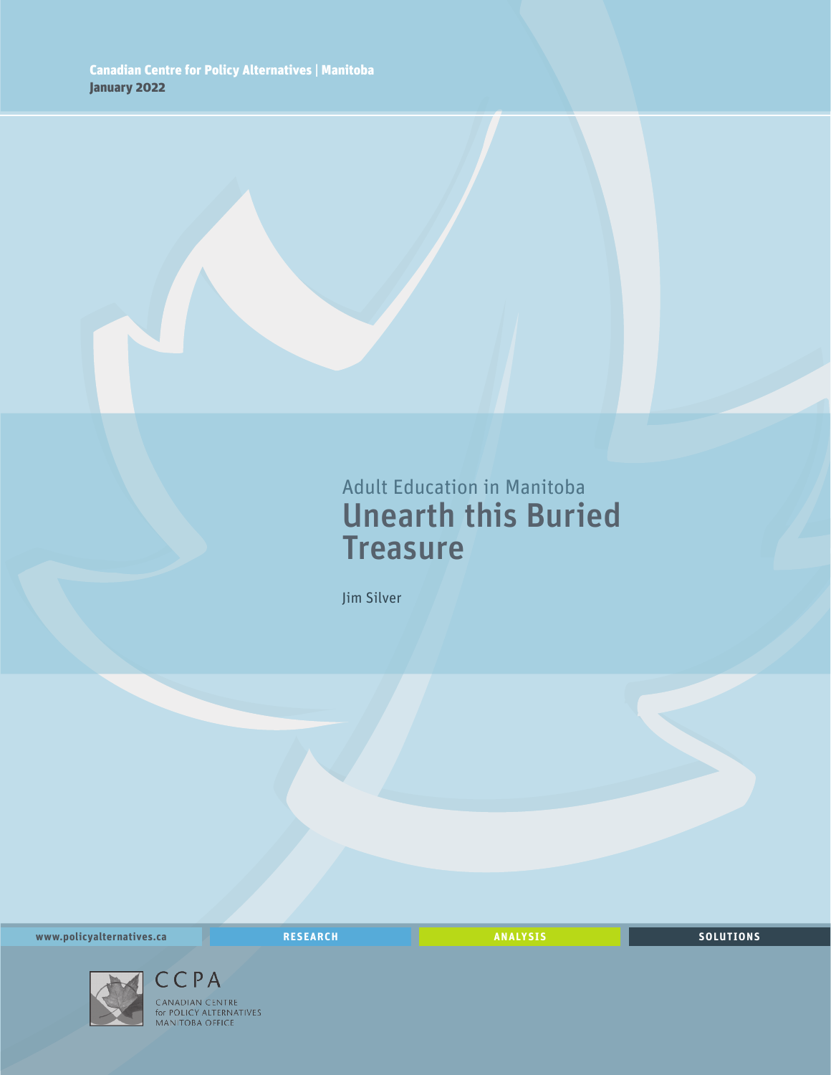## Adult Education in Manitoba Unearth this Buried **Treasure**

Jim Silver

**www.policyalternatives.ca** <mark>RESEARCH</mark> ANALYSIS SOLUTIONS



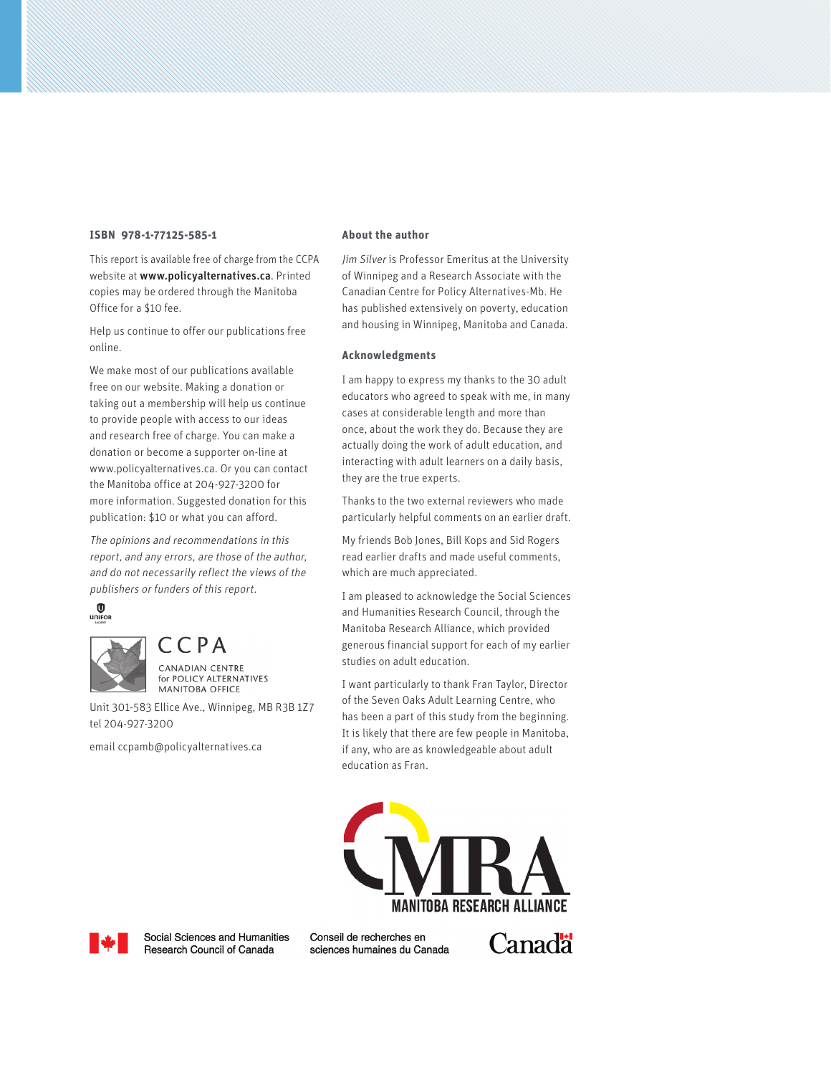#### **ISBN 978-1-77125-585-1**

This report is available free of charge from the CCPA website at www.policyalternatives.ca. Printed copies may be ordered through the Manitoba Office for a \$10 fee.

Help us continue to offer our publications free online.

We make most of our publications available free on our website. Making a donation or taking out a membership will help us continue to provide people with access to our ideas and research free of charge. You can make a donation or become a supporter on-line at www.policyalternatives.ca. Or you can contact the Manitoba office at 204-927-3200 for more information. Suggested donation for this publication: \$10 or what you can afford.

The opinions and recommendations in this report, and any errors, are those of the author, and do not necessarily reflect the views of the publishers or funders of this report.

 $\bigcirc$  unifor



 $CCPA$ **CANADIAN CENTRE** for POLICY ALTERNATIVES **MANITOBA OFFICE** 

Unit 301-583 Ellice Ave., Winnipeg, MB R3B 1Z7 tel 204-927-3200

email ccpamb@policyalternatives.ca

#### **About the author**

Jim Silver is Professor Emeritus at the University of Winnipeg and a Research Associate with the Canadian Centre for Policy Alternatives-Mb. He has published extensively on poverty, education and housing in Winnipeg, Manitoba and Canada.

#### **Acknowledgments**

I am happy to express my thanks to the 30 adult educators who agreed to speak with me, in many cases at considerable length and more than once, about the work they do. Because they are actually doing the work of adult education, and interacting with adult learners on a daily basis, they are the true experts.

Thanks to the two external reviewers who made particularly helpful comments on an earlier draft.

My friends Bob Jones, Bill Kops and Sid Rogers read earlier drafts and made useful comments, which are much appreciated.

I am pleased to acknowledge the Social Sciences and Humanities Research Council, through the Manitoba Research Alliance, which provided generous financial support for each of my earlier studies on adult education.

I want particularly to thank Fran Taylor, Director of the Seven Oaks Adult Learning Centre, who has been a part of this study from the beginning. It is likely that there are few people in Manitoba, if any, who are as knowledgeable about adult education as Fran.





Social Sciences and Humanities Research Council of Canada

Conseil de recherches en sciences humaines du Canada Canad<sup>"</sup>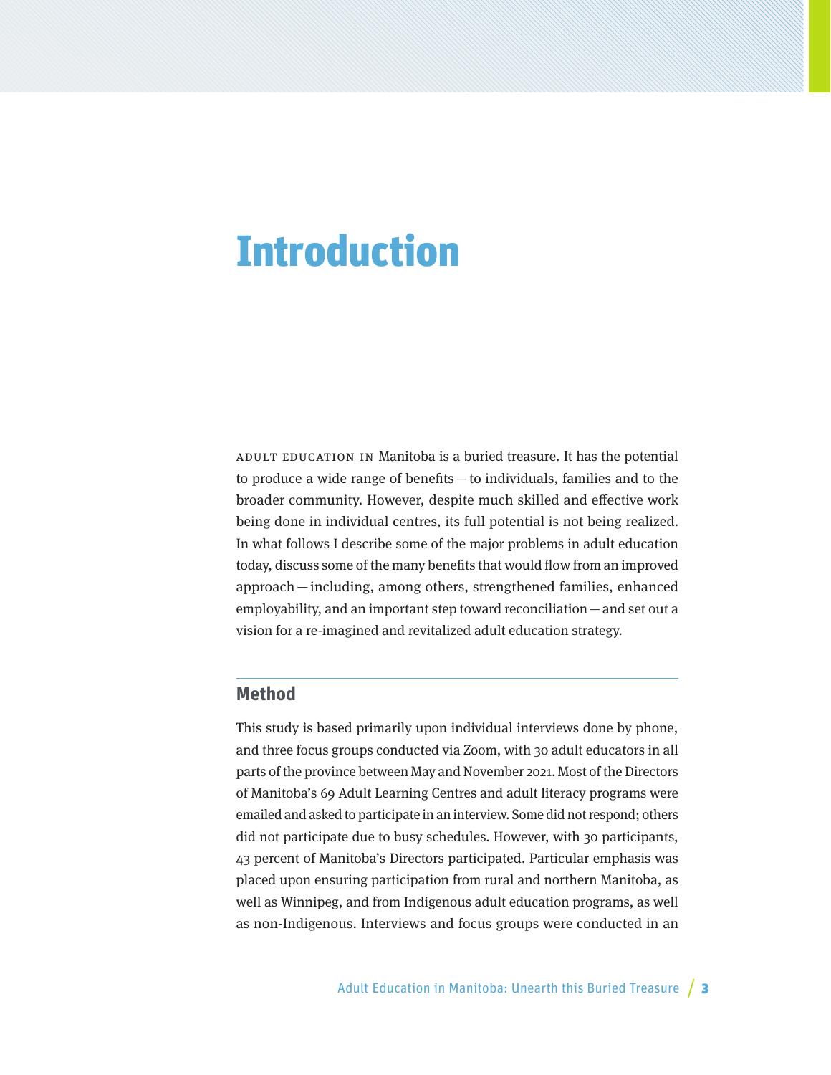## **Introduction**

Adult education in Manitoba is a buried treasure. It has the potential to produce a wide range of benefits—to individuals, families and to the broader community. However, despite much skilled and effective work being done in individual centres, its full potential is not being realized. In what follows I describe some of the major problems in adult education today, discuss some of the many benefits that would flow from an improved approach— including, among others, strengthened families, enhanced employability, and an important step toward reconciliation—and set out a vision for a re-imagined and revitalized adult education strategy.

## **Method**

This study is based primarily upon individual interviews done by phone, and three focus groups conducted via Zoom, with 30 adult educators in all parts of the province between May and November 2021. Most of the Directors of Manitoba's 69 Adult Learning Centres and adult literacy programs were emailed and asked to participate in an interview. Some did not respond; others did not participate due to busy schedules. However, with 30 participants, 43 percent of Manitoba's Directors participated. Particular emphasis was placed upon ensuring participation from rural and northern Manitoba, as well as Winnipeg, and from Indigenous adult education programs, as well as non-Indigenous. Interviews and focus groups were conducted in an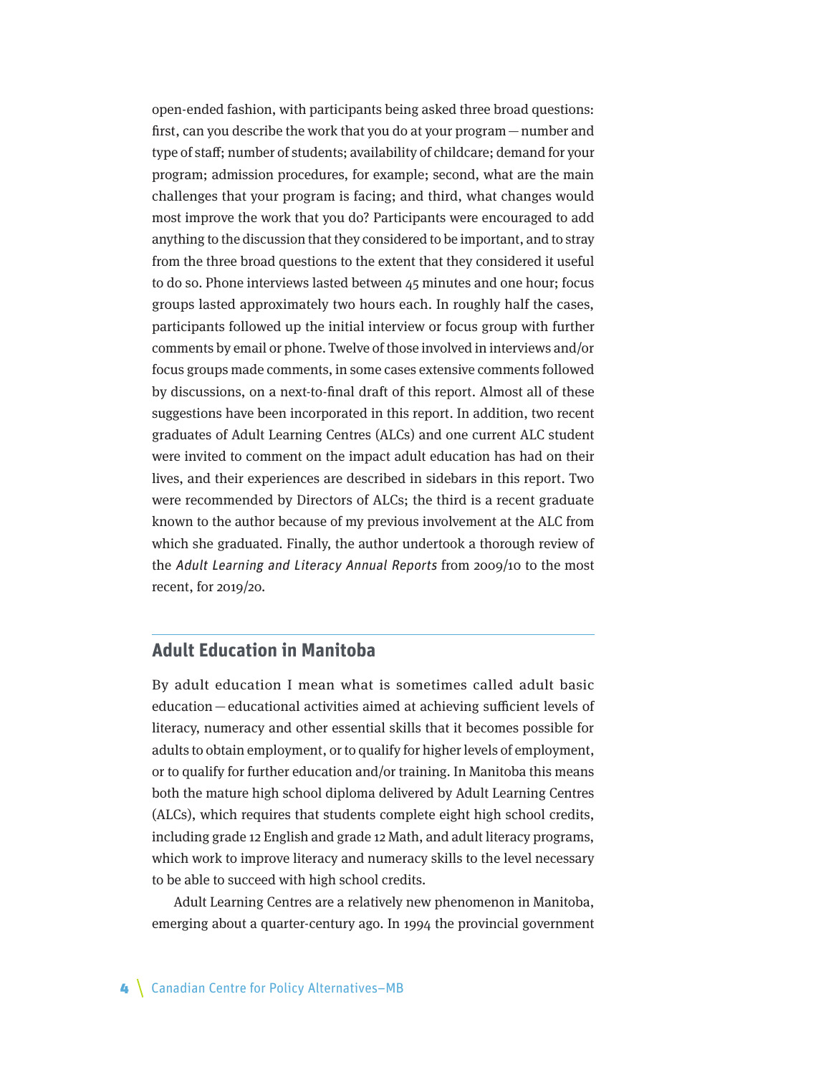open-ended fashion, with participants being asked three broad questions: first, can you describe the work that you do at your program—number and type of staff; number of students; availability of childcare; demand for your program; admission procedures, for example; second, what are the main challenges that your program is facing; and third, what changes would most improve the work that you do? Participants were encouraged to add anything to the discussion that they considered to be important, and to stray from the three broad questions to the extent that they considered it useful to do so. Phone interviews lasted between 45 minutes and one hour; focus groups lasted approximately two hours each. In roughly half the cases, participants followed up the initial interview or focus group with further comments by email or phone. Twelve of those involved in interviews and/or focus groups made comments, in some cases extensive comments followed by discussions, on a next-to-final draft of this report. Almost all of these suggestions have been incorporated in this report. In addition, two recent graduates of Adult Learning Centres (ALCs) and one current ALC student were invited to comment on the impact adult education has had on their lives, and their experiences are described in sidebars in this report. Two were recommended by Directors of ALCs; the third is a recent graduate known to the author because of my previous involvement at the ALC from which she graduated. Finally, the author undertook a thorough review of the Adult Learning and Literacy Annual Reports from 2009/10 to the most recent, for 2019/20.

## **Adult Education in Manitoba**

By adult education I mean what is sometimes called adult basic education—educational activities aimed at achieving sufficient levels of literacy, numeracy and other essential skills that it becomes possible for adults to obtain employment, or to qualify for higher levels of employment, or to qualify for further education and/or training. In Manitoba this means both the mature high school diploma delivered by Adult Learning Centres (ALCs), which requires that students complete eight high school credits, including grade 12 English and grade 12 Math, and adult literacy programs, which work to improve literacy and numeracy skills to the level necessary to be able to succeed with high school credits.

Adult Learning Centres are a relatively new phenomenon in Manitoba, emerging about a quarter-century ago. In 1994 the provincial government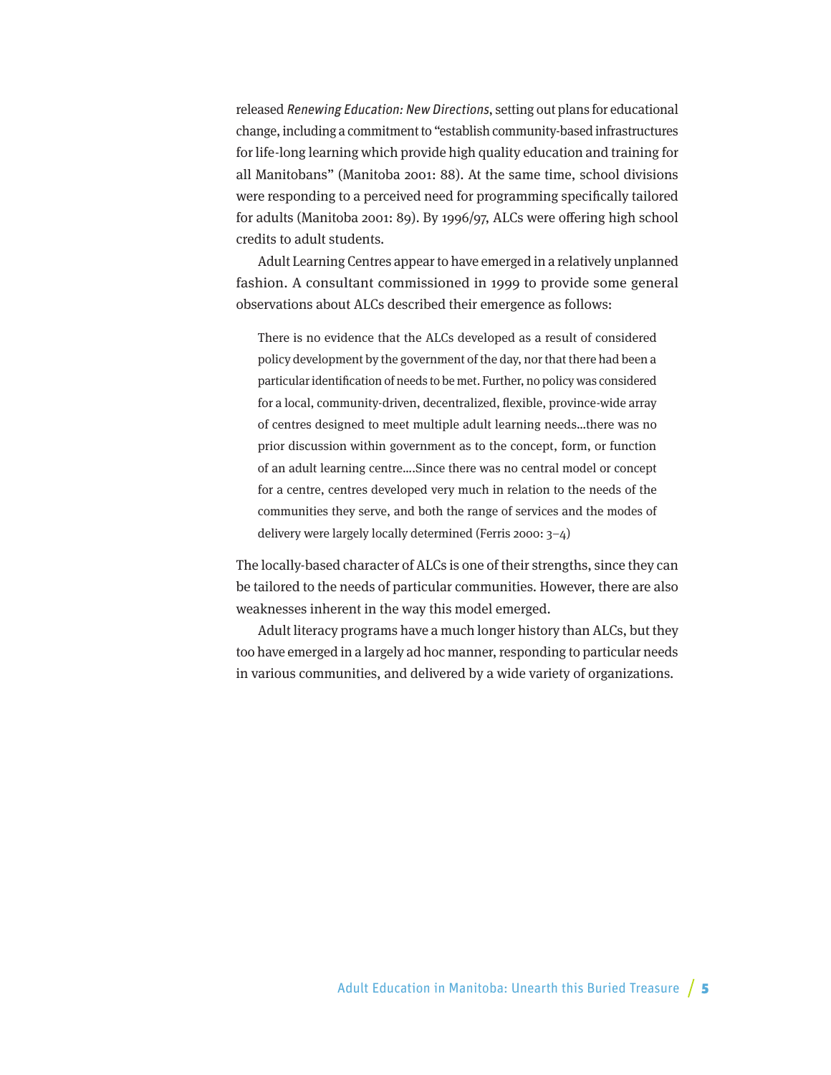released Renewing Education: New Directions, setting out plans for educational change, including a commitment to "establish community-based infrastructures for life-long learning which provide high quality education and training for all Manitobans" (Manitoba 2001: 88). At the same time, school divisions were responding to a perceived need for programming specifically tailored for adults (Manitoba 2001: 89). By 1996/97, ALCs were offering high school credits to adult students.

Adult Learning Centres appear to have emerged in a relatively unplanned fashion. A consultant commissioned in 1999 to provide some general observations about ALCs described their emergence as follows:

There is no evidence that the ALCs developed as a result of considered policy development by the government of the day, nor that there had been a particular identification of needs to be met. Further, no policy was considered for a local, community-driven, decentralized, flexible, province-wide array of centres designed to meet multiple adult learning needs…there was no prior discussion within government as to the concept, form, or function of an adult learning centre….Since there was no central model or concept for a centre, centres developed very much in relation to the needs of the communities they serve, and both the range of services and the modes of delivery were largely locally determined (Ferris 2000: 3–4)

The locally-based character of ALCs is one of their strengths, since they can be tailored to the needs of particular communities. However, there are also weaknesses inherent in the way this model emerged.

Adult literacy programs have a much longer history than ALCs, but they too have emerged in a largely ad hoc manner, responding to particular needs in various communities, and delivered by a wide variety of organizations.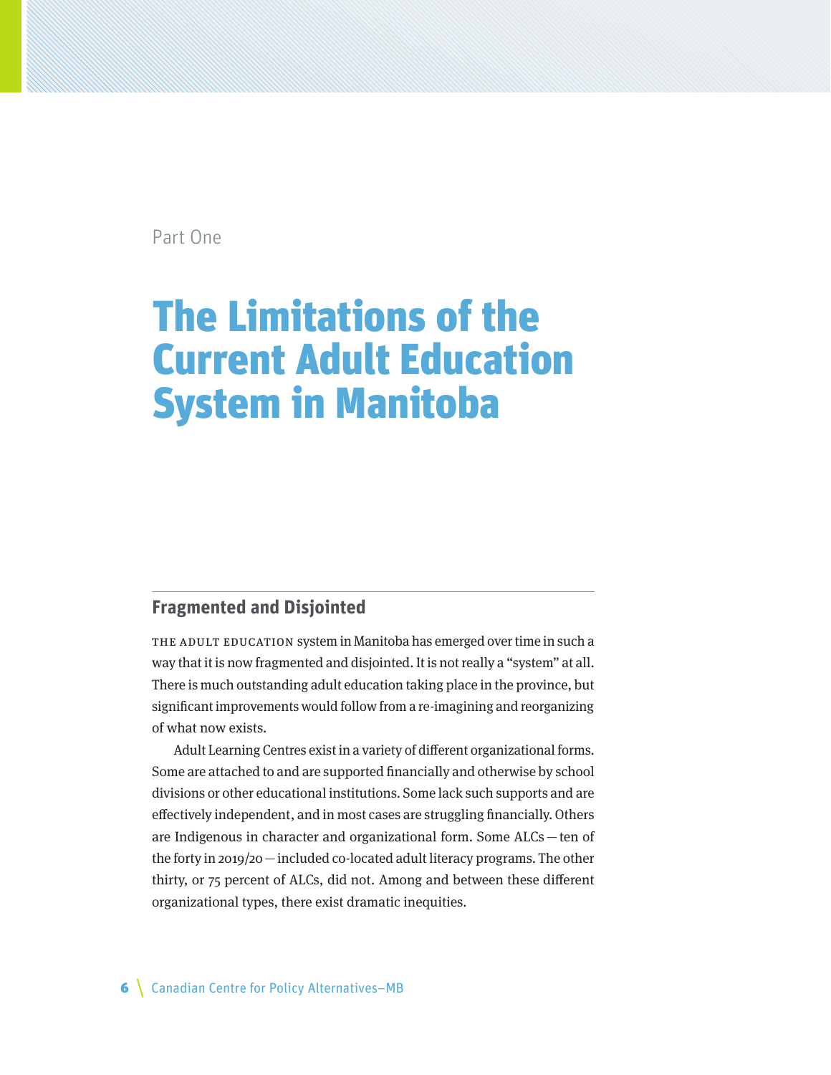Part One

## The Limitations of the Current Adult Education System in Manitoba

## **Fragmented and Disjointed**

THE ADULT EDUCATION system in Manitoba has emerged over time in such a way that it is now fragmented and disjointed. It is not really a "system" at all. There is much outstanding adult education taking place in the province, but significant improvements would follow from a re-imagining and reorganizing of what now exists.

Adult Learning Centres exist in a variety of different organizational forms. Some are attached to and are supported financially and otherwise by school divisions or other educational institutions. Some lack such supports and are effectively independent, and in most cases are struggling financially. Others are Indigenous in character and organizational form. Some ALCs—ten of the forty in 2019/20—included co-located adult literacy programs. The other thirty, or 75 percent of ALCs, did not. Among and between these different organizational types, there exist dramatic inequities.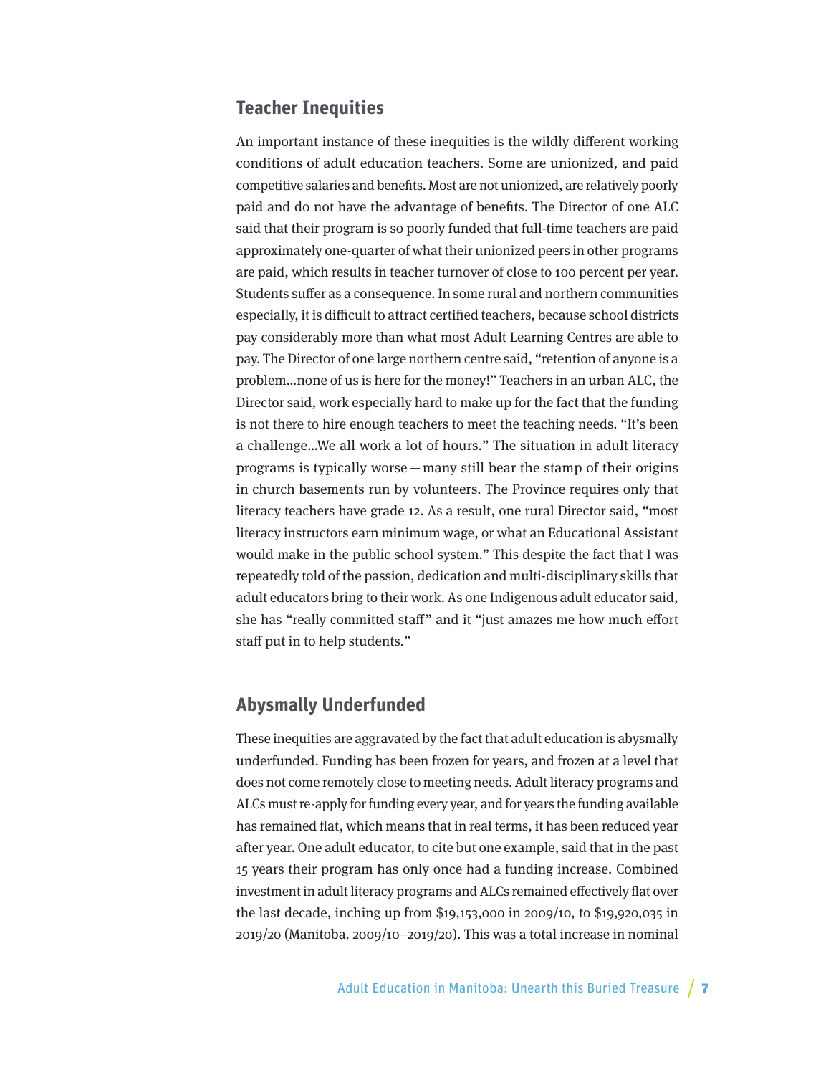## **Teacher Inequities**

An important instance of these inequities is the wildly different working conditions of adult education teachers. Some are unionized, and paid competitive salaries and benefits. Most are not unionized, are relatively poorly paid and do not have the advantage of benefits. The Director of one ALC said that their program is so poorly funded that full-time teachers are paid approximately one-quarter of what their unionized peers in other programs are paid, which results in teacher turnover of close to 100 percent per year. Students suffer as a consequence. In some rural and northern communities especially, it is difficult to attract certified teachers, because school districts pay considerably more than what most Adult Learning Centres are able to pay. The Director of one large northern centre said, "retention of anyone is a problem…none of us is here for the money!" Teachers in an urban ALC, the Director said, work especially hard to make up for the fact that the funding is not there to hire enough teachers to meet the teaching needs. "It's been a challenge…We all work a lot of hours." The situation in adult literacy programs is typically worse—many still bear the stamp of their origins in church basements run by volunteers. The Province requires only that literacy teachers have grade 12. As a result, one rural Director said, "most literacy instructors earn minimum wage, or what an Educational Assistant would make in the public school system." This despite the fact that I was repeatedly told of the passion, dedication and multi-disciplinary skills that adult educators bring to their work. As one Indigenous adult educator said, she has "really committed staff" and it "just amazes me how much effort staff put in to help students."

## **Abysmally Underfunded**

These inequities are aggravated by the fact that adult education is abysmally underfunded. Funding has been frozen for years, and frozen at a level that does not come remotely close to meeting needs. Adult literacy programs and ALCs must re-apply for funding every year, and for years the funding available has remained flat, which means that in real terms, it has been reduced year after year. One adult educator, to cite but one example, said that in the past 15 years their program has only once had a funding increase. Combined investment in adult literacy programs and ALCs remained effectively flat over the last decade, inching up from \$19,153,000 in 2009/10, to \$19,920,035 in 2019/20 (Manitoba. 2009/10–2019/20). This was a total increase in nominal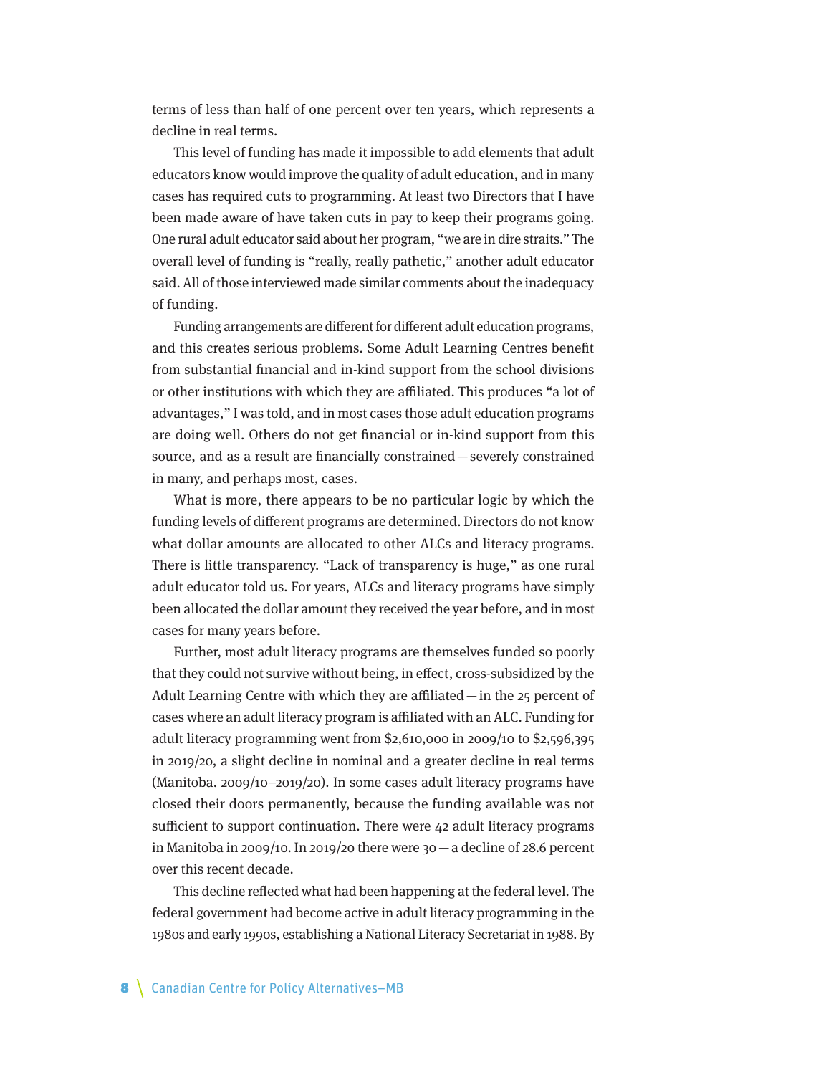terms of less than half of one percent over ten years, which represents a decline in real terms.

This level of funding has made it impossible to add elements that adult educators know would improve the quality of adult education, and in many cases has required cuts to programming. At least two Directors that I have been made aware of have taken cuts in pay to keep their programs going. One rural adult educator said about her program, "we are in dire straits." The overall level of funding is "really, really pathetic," another adult educator said. All of those interviewed made similar comments about the inadequacy of funding.

Funding arrangements are different for different adult education programs, and this creates serious problems. Some Adult Learning Centres benefit from substantial financial and in-kind support from the school divisions or other institutions with which they are affiliated. This produces "a lot of advantages," I was told, and in most cases those adult education programs are doing well. Others do not get financial or in-kind support from this source, and as a result are financially constrained—severely constrained in many, and perhaps most, cases.

What is more, there appears to be no particular logic by which the funding levels of different programs are determined. Directors do not know what dollar amounts are allocated to other ALCs and literacy programs. There is little transparency. "Lack of transparency is huge," as one rural adult educator told us. For years, ALCs and literacy programs have simply been allocated the dollar amount they received the year before, and in most cases for many years before.

Further, most adult literacy programs are themselves funded so poorly that they could not survive without being, in effect, cross-subsidized by the Adult Learning Centre with which they are affiliated  $-\text{in}$  the 25 percent of cases where an adult literacy program is affiliated with an ALC. Funding for adult literacy programming went from \$2,610,000 in 2009/10 to \$2,596,395 in 2019/20, a slight decline in nominal and a greater decline in real terms (Manitoba. 2009/10–2019/20). In some cases adult literacy programs have closed their doors permanently, because the funding available was not sufficient to support continuation. There were 42 adult literacy programs in Manitoba in 2009/10. In 2019/20 there were 30—a decline of 28.6 percent over this recent decade.

This decline reflected what had been happening at the federal level. The federal government had become active in adult literacy programming in the 1980s and early 1990s, establishing a National Literacy Secretariat in 1988. By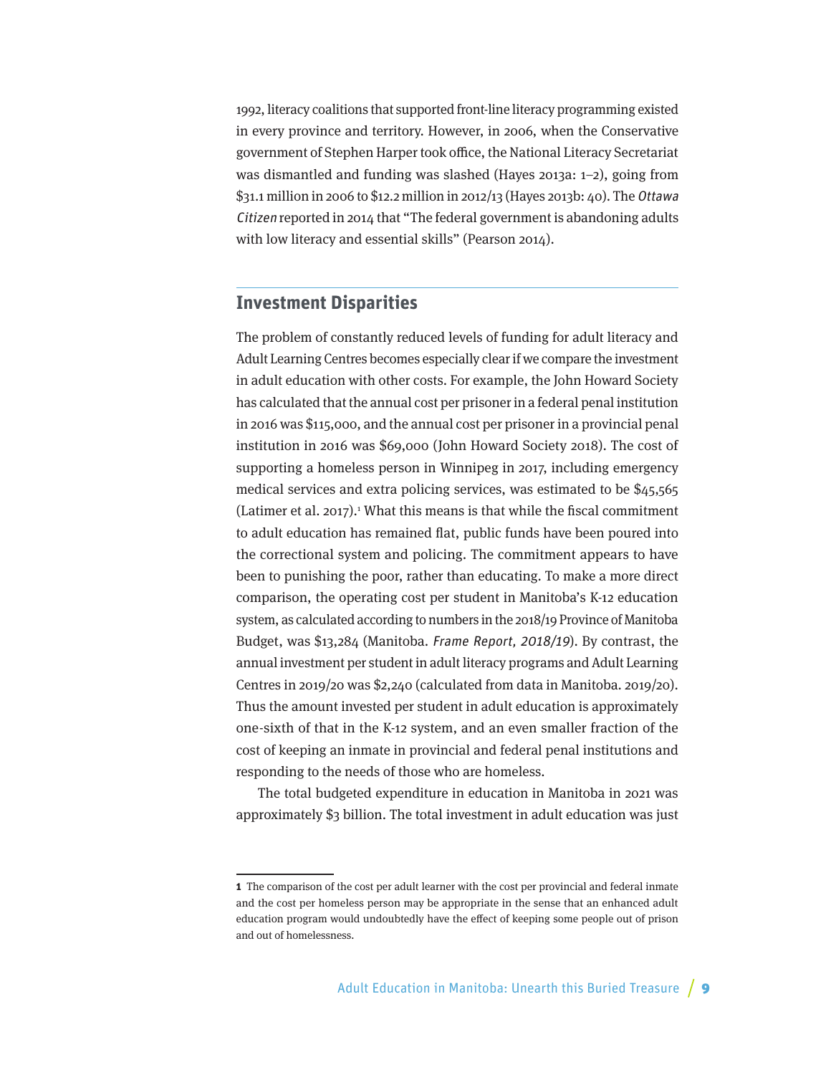1992, literacy coalitions that supported front-line literacy programming existed in every province and territory. However, in 2006, when the Conservative government of Stephen Harper took office, the National Literacy Secretariat was dismantled and funding was slashed (Hayes 2013a: 1–2), going from \$31.1 million in 2006 to \$12.2 million in 2012/13 (Hayes 2013b: 40). The Ottawa Citizen reported in 2014 that "The federal government is abandoning adults with low literacy and essential skills" (Pearson 2014).

## **Investment Disparities**

The problem of constantly reduced levels of funding for adult literacy and Adult Learning Centres becomes especially clear if we compare the investment in adult education with other costs. For example, the John Howard Society has calculated that the annual cost per prisoner in a federal penal institution in 2016 was \$115,000, and the annual cost per prisoner in a provincial penal institution in 2016 was \$69,000 (John Howard Society 2018). The cost of supporting a homeless person in Winnipeg in 2017, including emergency medical services and extra policing services, was estimated to be \$45,565  $(Latimer et al. 2017).$ <sup>1</sup> What this means is that while the fiscal commitment to adult education has remained flat, public funds have been poured into the correctional system and policing. The commitment appears to have been to punishing the poor, rather than educating. To make a more direct comparison, the operating cost per student in Manitoba's K-12 education system, as calculated according to numbers in the 2018/19 Province of Manitoba Budget, was \$13,284 (Manitoba. Frame Report, 2018/19). By contrast, the annual investment per student in adult literacy programs and Adult Learning Centres in 2019/20 was \$2,240 (calculated from data in Manitoba. 2019/20). Thus the amount invested per student in adult education is approximately one-sixth of that in the K-12 system, and an even smaller fraction of the cost of keeping an inmate in provincial and federal penal institutions and responding to the needs of those who are homeless.

The total budgeted expenditure in education in Manitoba in 2021 was approximately \$3 billion. The total investment in adult education was just

**<sup>1</sup>** The comparison of the cost per adult learner with the cost per provincial and federal inmate and the cost per homeless person may be appropriate in the sense that an enhanced adult education program would undoubtedly have the effect of keeping some people out of prison and out of homelessness.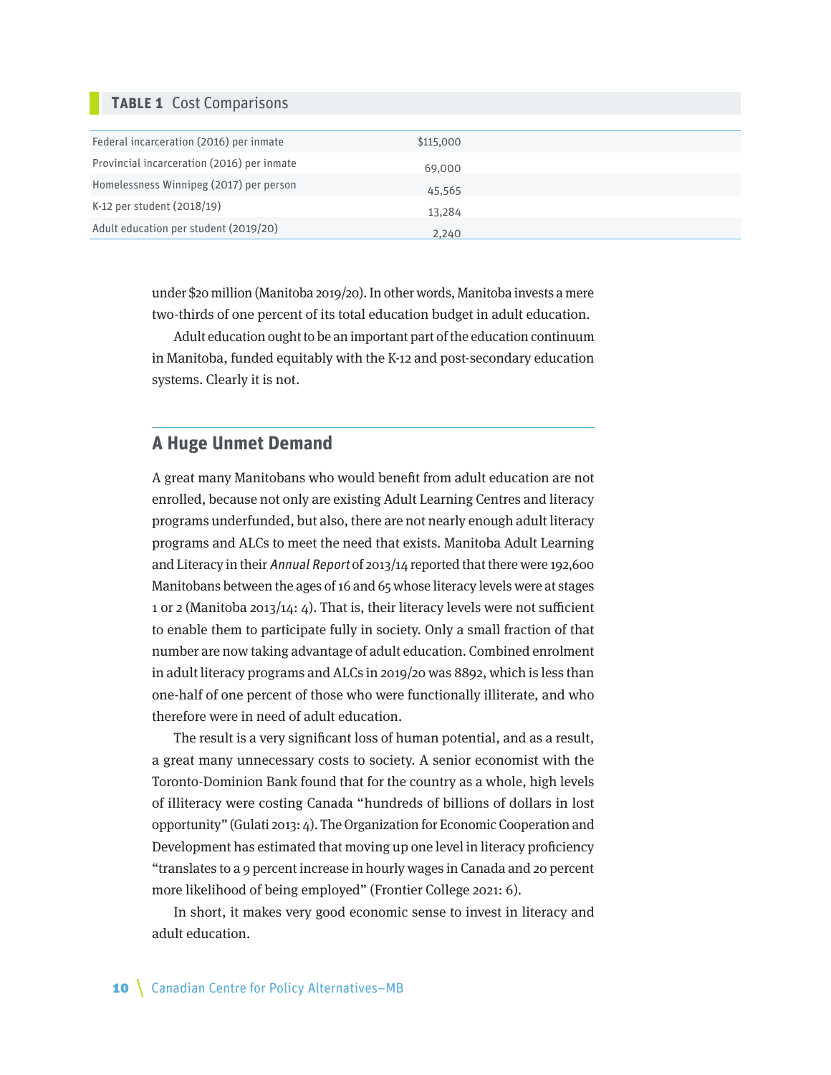### **Table 1** Cost Comparisons

| Federal incarceration (2016) per inmate    | \$115,000 |  |
|--------------------------------------------|-----------|--|
| Provincial incarceration (2016) per inmate | 69,000    |  |
| Homelessness Winnipeg (2017) per person    | 45,565    |  |
| K-12 per student (2018/19)                 | 13,284    |  |
| Adult education per student (2019/20)      | 2,240     |  |

under \$20 million (Manitoba 2019/20). In other words, Manitoba invests a mere two-thirds of one percent of its total education budget in adult education.

Adult education ought to be an important part of the education continuum in Manitoba, funded equitably with the K-12 and post-secondary education systems. Clearly it is not.

## **A Huge Unmet Demand**

A great many Manitobans who would benefit from adult education are not enrolled, because not only are existing Adult Learning Centres and literacy programs underfunded, but also, there are not nearly enough adult literacy programs and ALCs to meet the need that exists. Manitoba Adult Learning and Literacy in their Annual Report of 2013/14 reported that there were 192,600 Manitobans between the ages of 16 and 65 whose literacy levels were at stages 1 or 2 (Manitoba 2013/14: 4). That is, their literacy levels were not sufficient to enable them to participate fully in society. Only a small fraction of that number are now taking advantage of adult education. Combined enrolment in adult literacy programs and ALCs in 2019/20 was 8892, which is less than one-half of one percent of those who were functionally illiterate, and who therefore were in need of adult education.

The result is a very significant loss of human potential, and as a result, a great many unnecessary costs to society. A senior economist with the Toronto-Dominion Bank found that for the country as a whole, high levels of illiteracy were costing Canada "hundreds of billions of dollars in lost opportunity" (Gulati 2013: 4). The Organization for Economic Cooperation and Development has estimated that moving up one level in literacy proficiency "translates to a 9 percent increase in hourly wages in Canada and 20 percent more likelihood of being employed" (Frontier College 2021: 6).

In short, it makes very good economic sense to invest in literacy and adult education.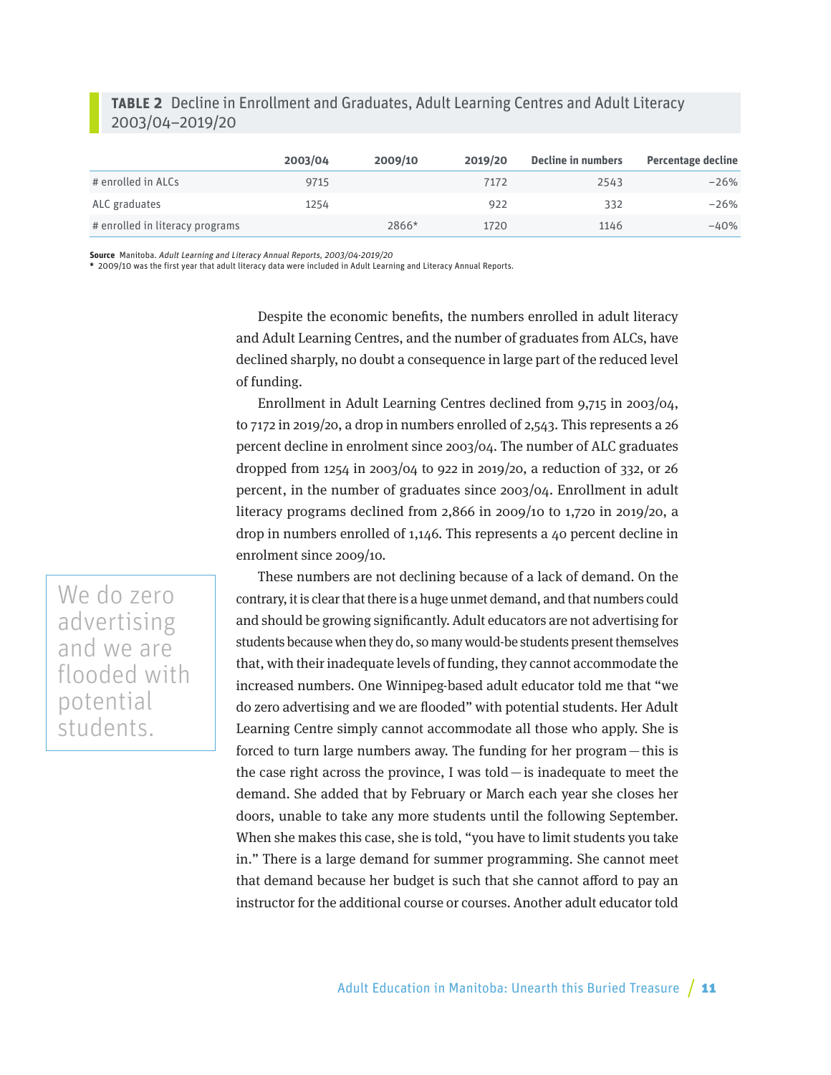### **table 2** Decline in Enrollment and Graduates, Adult Learning Centres and Adult Literacy 2003/04–2019/20

|                                 | 2003/04 | 2009/10 | 2019/20 | Decline in numbers | <b>Percentage decline</b> |
|---------------------------------|---------|---------|---------|--------------------|---------------------------|
| # enrolled in ALCs              | 9715    |         | 7172    | 2543               | $-26%$                    |
| ALC graduates                   | 1254    |         | 922     | 332                | $-26%$                    |
| # enrolled in literacy programs |         | 2866*   | 1720    | 1146               | $-40%$                    |

**Source** Manitoba. Adult Learning and Literacy Annual Reports, 2003/04-2019/20

**\*** 2009/10 was the first year that adult literacy data were included in Adult Learning and Literacy Annual Reports.

Despite the economic benefits, the numbers enrolled in adult literacy and Adult Learning Centres, and the number of graduates from ALCs, have declined sharply, no doubt a consequence in large part of the reduced level of funding.

Enrollment in Adult Learning Centres declined from 9,715 in 2003/04, to 7172 in 2019/20, a drop in numbers enrolled of 2,543. This represents a 26 percent decline in enrolment since 2003/04. The number of ALC graduates dropped from 1254 in 2003/04 to 922 in 2019/20, a reduction of 332, or 26 percent, in the number of graduates since 2003/04. Enrollment in adult literacy programs declined from 2,866 in 2009/10 to 1,720 in 2019/20, a drop in numbers enrolled of 1,146. This represents a 40 percent decline in enrolment since 2009/10.

We do zero advertising and we are flooded with potential students.

These numbers are not declining because of a lack of demand. On the contrary, it is clear that there is a huge unmet demand, and that numbers could and should be growing significantly. Adult educators are not advertising for students because when they do, so many would-be students present themselves that, with their inadequate levels of funding, they cannot accommodate the increased numbers. One Winnipeg-based adult educator told me that "we do zero advertising and we are flooded" with potential students. Her Adult Learning Centre simply cannot accommodate all those who apply. She is forced to turn large numbers away. The funding for her program—this is the case right across the province, I was told—is inadequate to meet the demand. She added that by February or March each year she closes her doors, unable to take any more students until the following September. When she makes this case, she is told, "you have to limit students you take in." There is a large demand for summer programming. She cannot meet that demand because her budget is such that she cannot afford to pay an instructor for the additional course or courses. Another adult educator told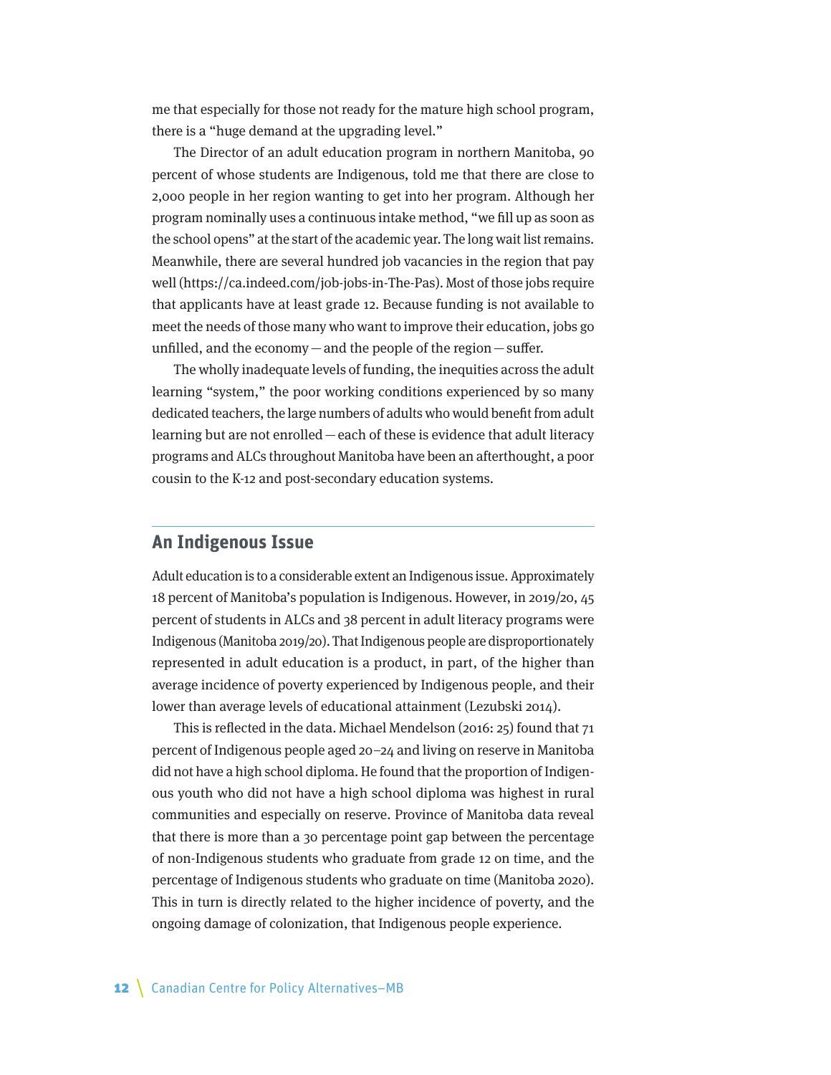me that especially for those not ready for the mature high school program, there is a "huge demand at the upgrading level."

The Director of an adult education program in northern Manitoba, 90 percent of whose students are Indigenous, told me that there are close to 2,000 people in her region wanting to get into her program. Although her program nominally uses a continuous intake method, "we fill up as soon as the school opens" at the start of the academic year. The long wait list remains. Meanwhile, there are several hundred job vacancies in the region that pay well (https://ca.indeed.com/job-jobs-in-The-Pas). Most of those jobs require that applicants have at least grade 12. Because funding is not available to meet the needs of those many who want to improve their education, jobs go unfilled, and the economy  $-\text{and}$  the people of the region  $-\text{suffer}$ .

The wholly inadequate levels of funding, the inequities across the adult learning "system," the poor working conditions experienced by so many dedicated teachers, the large numbers of adults who would benefit from adult learning but are not enrolled—each of these is evidence that adult literacy programs and ALCs throughout Manitoba have been an afterthought, a poor cousin to the K-12 and post-secondary education systems.

### **An Indigenous Issue**

Adult education is to a considerable extent an Indigenous issue. Approximately 18 percent of Manitoba's population is Indigenous. However, in 2019/20, 45 percent of students in ALCs and 38 percent in adult literacy programs were Indigenous (Manitoba 2019/20). That Indigenous people are disproportionately represented in adult education is a product, in part, of the higher than average incidence of poverty experienced by Indigenous people, and their lower than average levels of educational attainment (Lezubski 2014).

This is reflected in the data. Michael Mendelson (2016: 25) found that 71 percent of Indigenous people aged 20–24 and living on reserve in Manitoba did not have a high school diploma. He found that the proportion of Indigenous youth who did not have a high school diploma was highest in rural communities and especially on reserve. Province of Manitoba data reveal that there is more than a 30 percentage point gap between the percentage of non-Indigenous students who graduate from grade 12 on time, and the percentage of Indigenous students who graduate on time (Manitoba 2020). This in turn is directly related to the higher incidence of poverty, and the ongoing damage of colonization, that Indigenous people experience.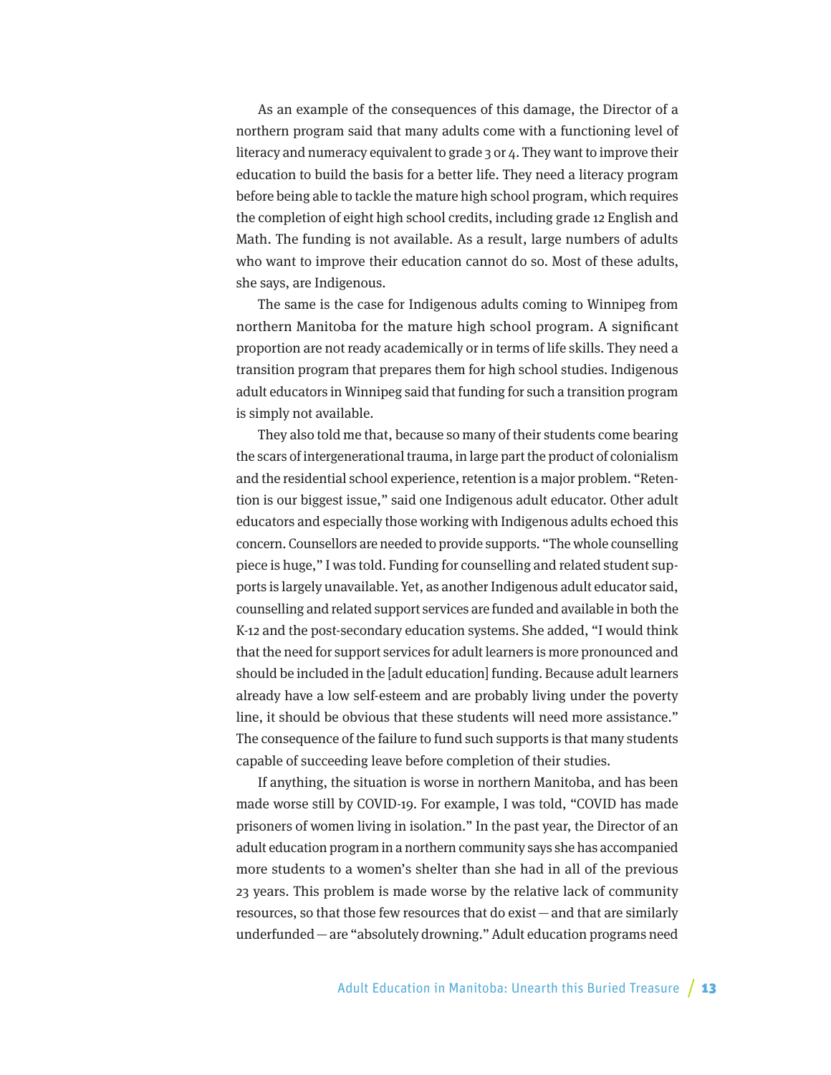As an example of the consequences of this damage, the Director of a northern program said that many adults come with a functioning level of literacy and numeracy equivalent to grade 3 or 4. They want to improve their education to build the basis for a better life. They need a literacy program before being able to tackle the mature high school program, which requires the completion of eight high school credits, including grade 12 English and Math. The funding is not available. As a result, large numbers of adults who want to improve their education cannot do so. Most of these adults, she says, are Indigenous.

The same is the case for Indigenous adults coming to Winnipeg from northern Manitoba for the mature high school program. A significant proportion are not ready academically or in terms of life skills. They need a transition program that prepares them for high school studies. Indigenous adult educators in Winnipeg said that funding for such a transition program is simply not available.

They also told me that, because so many of their students come bearing the scars of intergenerational trauma, in large part the product of colonialism and the residential school experience, retention is a major problem. "Retention is our biggest issue," said one Indigenous adult educator. Other adult educators and especially those working with Indigenous adults echoed this concern. Counsellors are needed to provide supports. "The whole counselling piece is huge," I was told. Funding for counselling and related student supports is largely unavailable. Yet, as another Indigenous adult educator said, counselling and related support services are funded and available in both the K-12 and the post-secondary education systems. She added, "I would think that the need for support services for adult learners is more pronounced and should be included in the [adult education] funding. Because adult learners already have a low self-esteem and are probably living under the poverty line, it should be obvious that these students will need more assistance." The consequence of the failure to fund such supports is that many students capable of succeeding leave before completion of their studies.

If anything, the situation is worse in northern Manitoba, and has been made worse still by COVID-19. For example, I was told, "COVID has made prisoners of women living in isolation." In the past year, the Director of an adult education program in a northern community says she has accompanied more students to a women's shelter than she had in all of the previous 23 years. This problem is made worse by the relative lack of community resources, so that those few resources that do exist—and that are similarly underfunded—are "absolutely drowning." Adult education programs need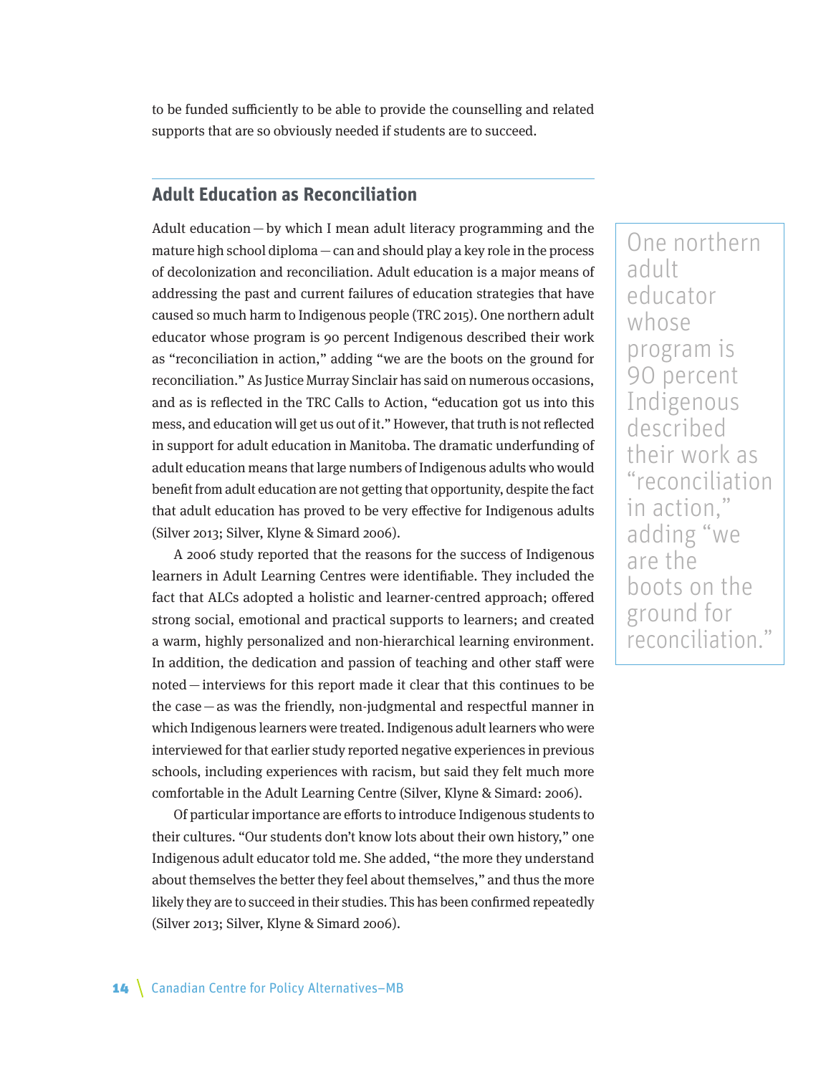to be funded sufficiently to be able to provide the counselling and related supports that are so obviously needed if students are to succeed.

## **Adult Education as Reconciliation**

Adult education—by which I mean adult literacy programming and the mature high school diploma—can and should play a key role in the process of decolonization and reconciliation. Adult education is a major means of addressing the past and current failures of education strategies that have caused so much harm to Indigenous people (TRC 2015). One northern adult educator whose program is 90 percent Indigenous described their work as "reconciliation in action," adding "we are the boots on the ground for reconciliation." As Justice Murray Sinclair has said on numerous occasions, and as is reflected in the TRC Calls to Action, "education got us into this mess, and education will get us out of it." However, that truth is not reflected in support for adult education in Manitoba. The dramatic underfunding of adult education means that large numbers of Indigenous adults who would benefit from adult education are not getting that opportunity, despite the fact that adult education has proved to be very effective for Indigenous adults (Silver 2013; Silver, Klyne & Simard 2006).

A 2006 study reported that the reasons for the success of Indigenous learners in Adult Learning Centres were identifiable. They included the fact that ALCs adopted a holistic and learner-centred approach; offered strong social, emotional and practical supports to learners; and created a warm, highly personalized and non-hierarchical learning environment. In addition, the dedication and passion of teaching and other staff were noted—interviews for this report made it clear that this continues to be the case—as was the friendly, non-judgmental and respectful manner in which Indigenous learners were treated. Indigenous adult learners who were interviewed for that earlier study reported negative experiences in previous schools, including experiences with racism, but said they felt much more comfortable in the Adult Learning Centre (Silver, Klyne & Simard: 2006).

Of particular importance are efforts to introduce Indigenous students to their cultures. "Our students don't know lots about their own history," one Indigenous adult educator told me. She added, "the more they understand about themselves the better they feel about themselves," and thus the more likely they are to succeed in their studies. This has been confirmed repeatedly (Silver 2013; Silver, Klyne & Simard 2006).

One northern adult educator whose program is 90 percent Indigenous described their work as "reconciliation in action," adding "we are the boots on the ground for reconciliation."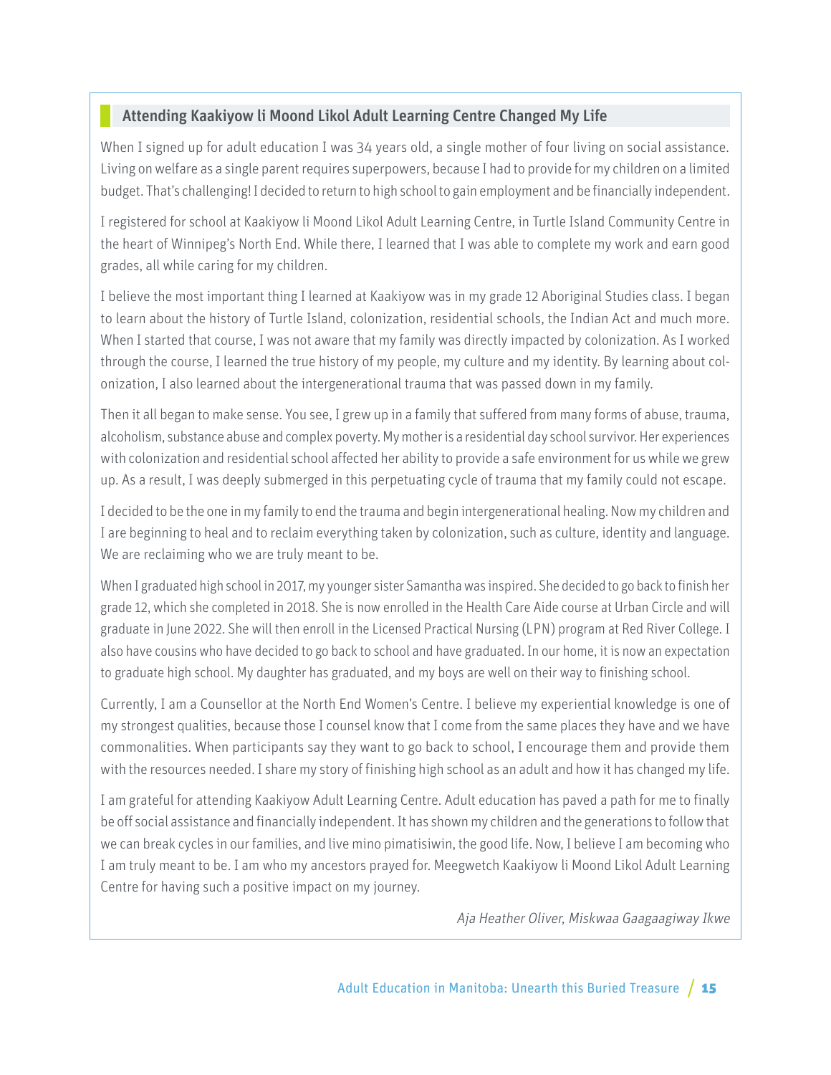## Attending Kaakiyow li Moond Likol Adult Learning Centre Changed My Life

When I signed up for adult education I was 34 years old, a single mother of four living on social assistance. Living on welfare as a single parent requires superpowers, because I had to provide for my children on a limited budget. That's challenging! I decided to return to high school to gain employment and be financially independent.

I registered for school at Kaakiyow li Moond Likol Adult Learning Centre, in Turtle Island Community Centre in the heart of Winnipeg's North End. While there, I learned that I was able to complete my work and earn good grades, all while caring for my children.

I believe the most important thing I learned at Kaakiyow was in my grade 12 Aboriginal Studies class. I began to learn about the history of Turtle Island, colonization, residential schools, the Indian Act and much more. When I started that course, I was not aware that my family was directly impacted by colonization. As I worked through the course, I learned the true history of my people, my culture and my identity. By learning about colonization, I also learned about the intergenerational trauma that was passed down in my family.

Then it all began to make sense. You see, I grew up in a family that suffered from many forms of abuse, trauma, alcoholism, substance abuse and complex poverty. My mother is a residential day school survivor. Her experiences with colonization and residential school affected her ability to provide a safe environment for us while we grew up. As a result, I was deeply submerged in this perpetuating cycle of trauma that my family could not escape.

I decided to be the one in my family to end the trauma and begin intergenerational healing. Now my children and I are beginning to heal and to reclaim everything taken by colonization, such as culture, identity and language. We are reclaiming who we are truly meant to be.

When I graduated high school in 2017, my younger sister Samantha was inspired. She decided to go back to finish her grade 12, which she completed in 2018. She is now enrolled in the Health Care Aide course at Urban Circle and will graduate in June 2022. She will then enroll in the Licensed Practical Nursing (LPN) program at Red River College. I also have cousins who have decided to go back to school and have graduated. In our home, it is now an expectation to graduate high school. My daughter has graduated, and my boys are well on their way to finishing school.

Currently, I am a Counsellor at the North End Women's Centre. I believe my experiential knowledge is one of my strongest qualities, because those I counsel know that I come from the same places they have and we have commonalities. When participants say they want to go back to school, I encourage them and provide them with the resources needed. I share my story of finishing high school as an adult and how it has changed my life.

I am grateful for attending Kaakiyow Adult Learning Centre. Adult education has paved a path for me to finally be off social assistance and financially independent. It has shown my children and the generations to follow that we can break cycles in our families, and live mino pimatisiwin, the good life. Now, I believe I am becoming who I am truly meant to be. I am who my ancestors prayed for. Meegwetch Kaakiyow li Moond Likol Adult Learning Centre for having such a positive impact on my journey.

Aja Heather Oliver, Miskwaa Gaagaagiway Ikwe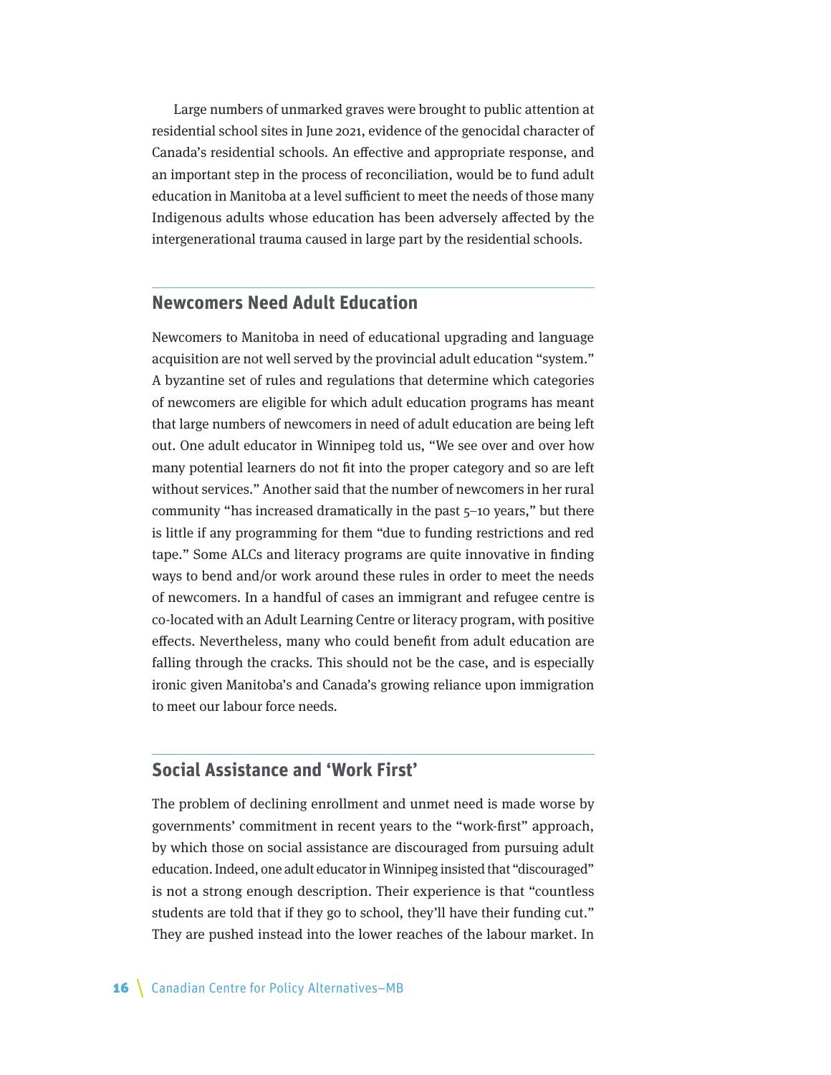Large numbers of unmarked graves were brought to public attention at residential school sites in June 2021, evidence of the genocidal character of Canada's residential schools. An effective and appropriate response, and an important step in the process of reconciliation, would be to fund adult education in Manitoba at a level sufficient to meet the needs of those many Indigenous adults whose education has been adversely affected by the intergenerational trauma caused in large part by the residential schools.

### **Newcomers Need Adult Education**

Newcomers to Manitoba in need of educational upgrading and language acquisition are not well served by the provincial adult education "system." A byzantine set of rules and regulations that determine which categories of newcomers are eligible for which adult education programs has meant that large numbers of newcomers in need of adult education are being left out. One adult educator in Winnipeg told us, "We see over and over how many potential learners do not fit into the proper category and so are left without services." Another said that the number of newcomers in her rural community "has increased dramatically in the past 5–10 years," but there is little if any programming for them "due to funding restrictions and red tape." Some ALCs and literacy programs are quite innovative in finding ways to bend and/or work around these rules in order to meet the needs of newcomers. In a handful of cases an immigrant and refugee centre is co-located with an Adult Learning Centre or literacy program, with positive effects. Nevertheless, many who could benefit from adult education are falling through the cracks. This should not be the case, and is especially ironic given Manitoba's and Canada's growing reliance upon immigration to meet our labour force needs.

## **Social Assistance and 'Work First'**

The problem of declining enrollment and unmet need is made worse by governments' commitment in recent years to the "work-first" approach, by which those on social assistance are discouraged from pursuing adult education. Indeed, one adult educator in Winnipeg insisted that "discouraged" is not a strong enough description. Their experience is that "countless students are told that if they go to school, they'll have their funding cut." They are pushed instead into the lower reaches of the labour market. In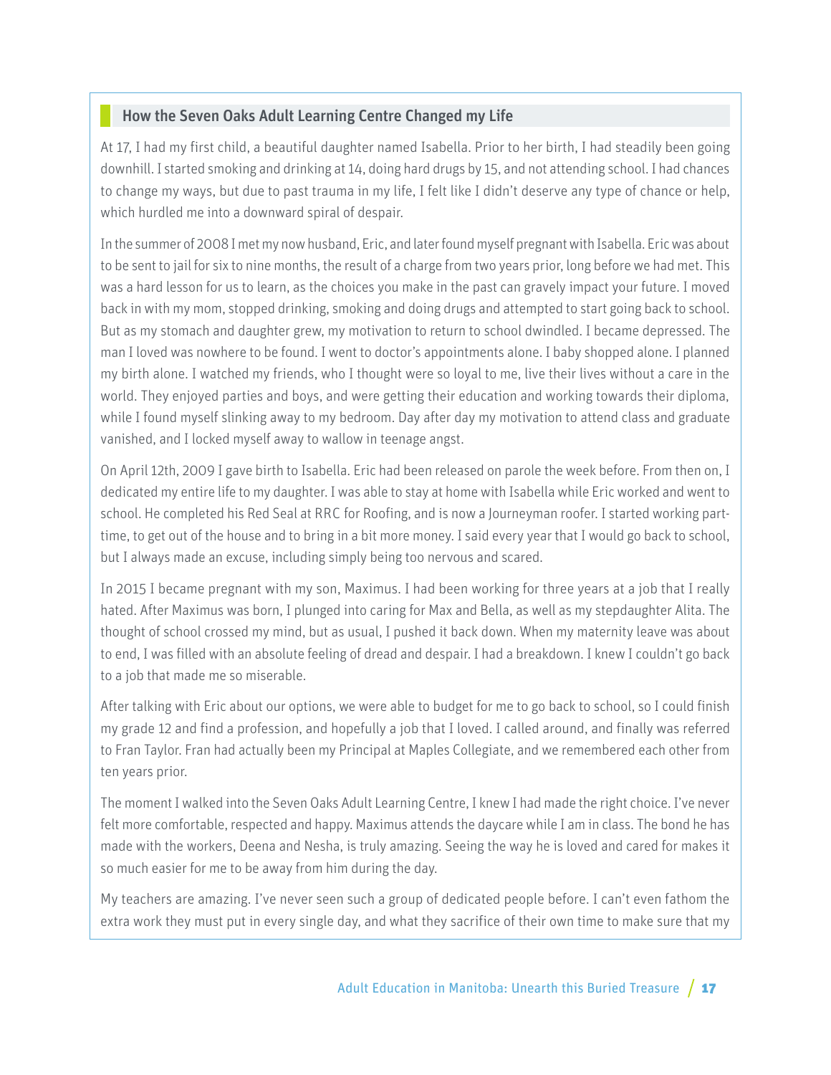## How the Seven Oaks Adult Learning Centre Changed my Life

At 17, I had my first child, a beautiful daughter named Isabella. Prior to her birth, I had steadily been going downhill. I started smoking and drinking at 14, doing hard drugs by 15, and not attending school. I had chances to change my ways, but due to past trauma in my life, I felt like I didn't deserve any type of chance or help, which hurdled me into a downward spiral of despair.

In the summer of 2008 I met my now husband, Eric, and later found myself pregnant with Isabella. Eric was about to be sent to jail for six to nine months, the result of a charge from two years prior, long before we had met. This was a hard lesson for us to learn, as the choices you make in the past can gravely impact your future. I moved back in with my mom, stopped drinking, smoking and doing drugs and attempted to start going back to school. But as my stomach and daughter grew, my motivation to return to school dwindled. I became depressed. The man I loved was nowhere to be found. I went to doctor's appointments alone. I baby shopped alone. I planned my birth alone. I watched my friends, who I thought were so loyal to me, live their lives without a care in the world. They enjoyed parties and boys, and were getting their education and working towards their diploma, while I found myself slinking away to my bedroom. Day after day my motivation to attend class and graduate vanished, and I locked myself away to wallow in teenage angst.

On April 12th, 2009 I gave birth to Isabella. Eric had been released on parole the week before. From then on, I dedicated my entire life to my daughter. I was able to stay at home with Isabella while Eric worked and went to school. He completed his Red Seal at RRC for Roofing, and is now a Journeyman roofer. I started working parttime, to get out of the house and to bring in a bit more money. I said every year that I would go back to school, but I always made an excuse, including simply being too nervous and scared.

In 2015 I became pregnant with my son, Maximus. I had been working for three years at a job that I really hated. After Maximus was born, I plunged into caring for Max and Bella, as well as my stepdaughter Alita. The thought of school crossed my mind, but as usual, I pushed it back down. When my maternity leave was about to end, I was filled with an absolute feeling of dread and despair. I had a breakdown. I knew I couldn't go back to a job that made me so miserable.

After talking with Eric about our options, we were able to budget for me to go back to school, so I could finish my grade 12 and find a profession, and hopefully a job that I loved. I called around, and finally was referred to Fran Taylor. Fran had actually been my Principal at Maples Collegiate, and we remembered each other from ten years prior.

The moment I walked into the Seven Oaks Adult Learning Centre, I knew I had made the right choice. I've never felt more comfortable, respected and happy. Maximus attends the daycare while I am in class. The bond he has made with the workers, Deena and Nesha, is truly amazing. Seeing the way he is loved and cared for makes it so much easier for me to be away from him during the day.

My teachers are amazing. I've never seen such a group of dedicated people before. I can't even fathom the extra work they must put in every single day, and what they sacrifice of their own time to make sure that my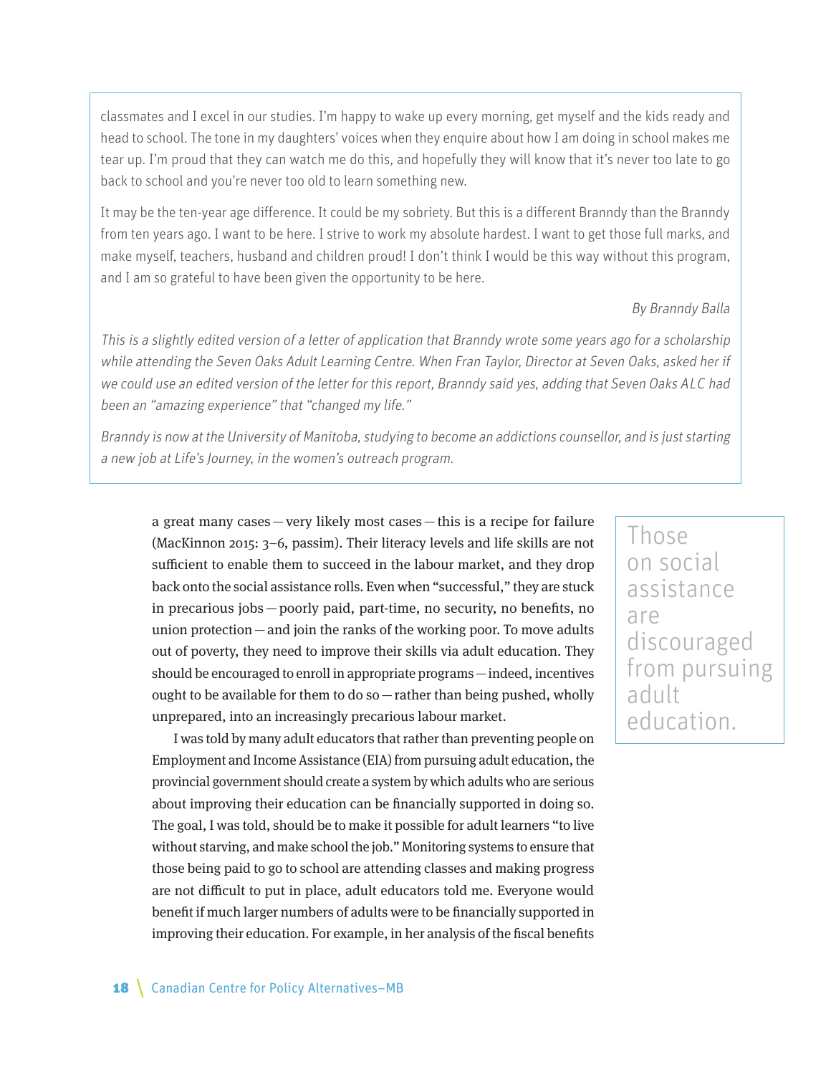classmates and I excel in our studies. I'm happy to wake up every morning, get myself and the kids ready and head to school. The tone in my daughters' voices when they enquire about how I am doing in school makes me tear up. I'm proud that they can watch me do this, and hopefully they will know that it's never too late to go back to school and you're never too old to learn something new.

It may be the ten-year age difference. It could be my sobriety. But this is a different Branndy than the Branndy from ten years ago. I want to be here. I strive to work my absolute hardest. I want to get those full marks, and make myself, teachers, husband and children proud! I don't think I would be this way without this program, and I am so grateful to have been given the opportunity to be here.

### By Branndy Balla

This is a slightly edited version of a letter of application that Branndy wrote some years ago for a scholarship while attending the Seven Oaks Adult Learning Centre. When Fran Taylor, Director at Seven Oaks, asked her if we could use an edited version of the letter for this report, Branndy said yes, adding that Seven Oaks ALC had been an "amazing experience" that "changed my life."

Branndy is now at the University of Manitoba, studying to become an addictions counsellor, and is just starting a new job at Life's Journey, in the women's outreach program.

a great many cases—very likely most cases—this is a recipe for failure (MacKinnon 2015: 3–6, passim). Their literacy levels and life skills are not sufficient to enable them to succeed in the labour market, and they drop back onto the social assistance rolls. Even when "successful," they are stuck in precarious jobs—poorly paid, part-time, no security, no benefits, no union protection—and join the ranks of the working poor. To move adults out of poverty, they need to improve their skills via adult education. They should be encouraged to enroll in appropriate programs—indeed, incentives ought to be available for them to do so—rather than being pushed, wholly unprepared, into an increasingly precarious labour market.

I was told by many adult educators that rather than preventing people on Employment and Income Assistance (EIA) from pursuing adult education, the provincial government should create a system by which adults who are serious about improving their education can be financially supported in doing so. The goal, I was told, should be to make it possible for adult learners "to live without starving, and make school the job." Monitoring systems to ensure that those being paid to go to school are attending classes and making progress are not difficult to put in place, adult educators told me. Everyone would benefit if much larger numbers of adults were to be financially supported in improving their education. For example, in her analysis of the fiscal benefits

Those on social assistance are discouraged from pursuing adult education.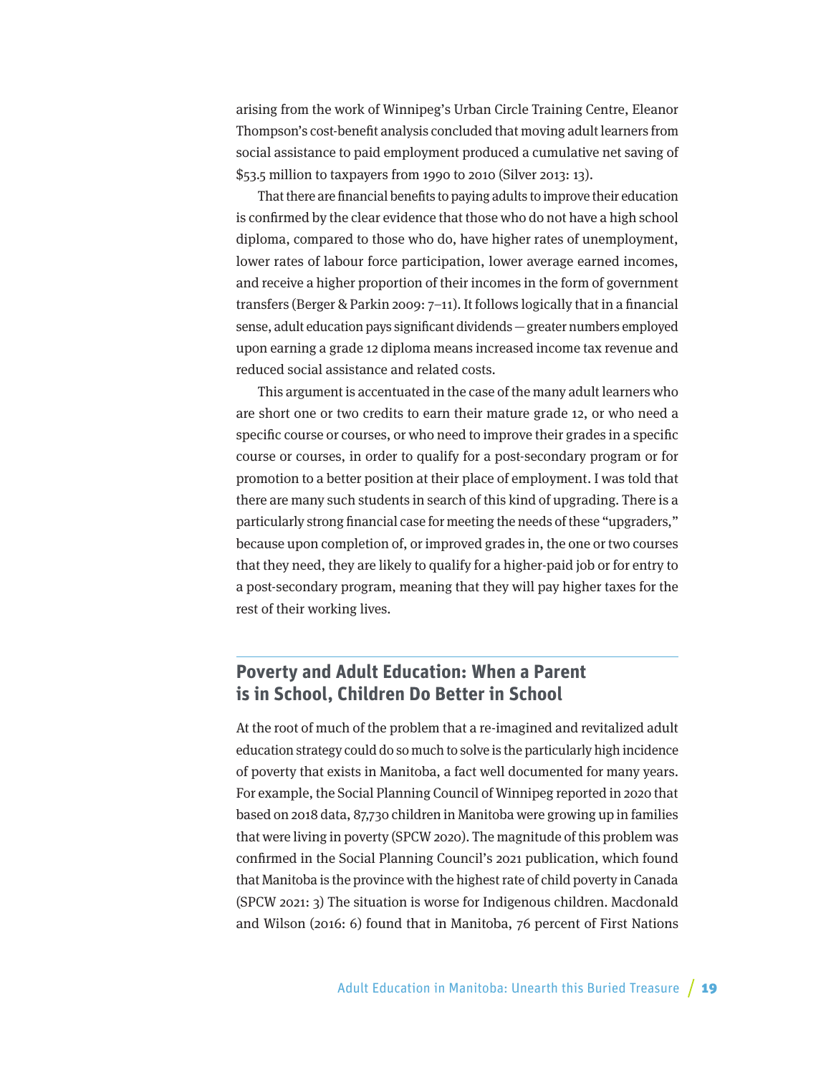arising from the work of Winnipeg's Urban Circle Training Centre, Eleanor Thompson's cost-benefit analysis concluded that moving adult learners from social assistance to paid employment produced a cumulative net saving of \$53.5 million to taxpayers from 1990 to 2010 (Silver 2013: 13).

That there are financial benefits to paying adults to improve their education is confirmed by the clear evidence that those who do not have a high school diploma, compared to those who do, have higher rates of unemployment, lower rates of labour force participation, lower average earned incomes, and receive a higher proportion of their incomes in the form of government transfers (Berger & Parkin 2009: 7–11). It follows logically that in a financial sense, adult education pays significant dividends—greater numbers employed upon earning a grade 12 diploma means increased income tax revenue and reduced social assistance and related costs.

This argument is accentuated in the case of the many adult learners who are short one or two credits to earn their mature grade 12, or who need a specific course or courses, or who need to improve their grades in a specific course or courses, in order to qualify for a post-secondary program or for promotion to a better position at their place of employment. I was told that there are many such students in search of this kind of upgrading. There is a particularly strong financial case for meeting the needs of these "upgraders," because upon completion of, or improved grades in, the one or two courses that they need, they are likely to qualify for a higher-paid job or for entry to a post-secondary program, meaning that they will pay higher taxes for the rest of their working lives.

## **Poverty and Adult Education: When a Parent is in School, Children Do Better in School**

At the root of much of the problem that a re-imagined and revitalized adult education strategy could do so much to solve is the particularly high incidence of poverty that exists in Manitoba, a fact well documented for many years. For example, the Social Planning Council of Winnipeg reported in 2020 that based on 2018 data, 87,730 children in Manitoba were growing up in families that were living in poverty (SPCW 2020). The magnitude of this problem was confirmed in the Social Planning Council's 2021 publication, which found that Manitoba is the province with the highest rate of child poverty in Canada (SPCW 2021: 3) The situation is worse for Indigenous children. Macdonald and Wilson (2016: 6) found that in Manitoba, 76 percent of First Nations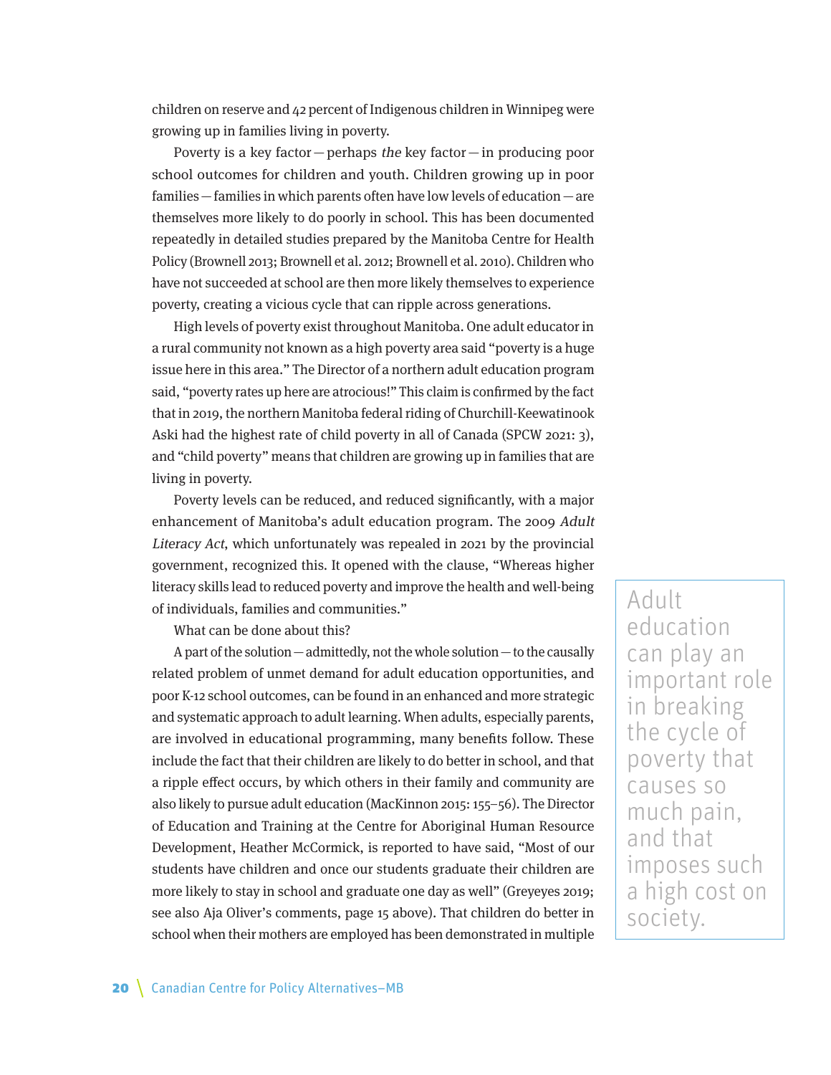children on reserve and 42 percent of Indigenous children in Winnipeg were growing up in families living in poverty.

Poverty is a key factor  $-$  perhaps the key factor  $-$  in producing poor school outcomes for children and youth. Children growing up in poor families—families in which parents often have low levels of education—are themselves more likely to do poorly in school. This has been documented repeatedly in detailed studies prepared by the Manitoba Centre for Health Policy (Brownell 2013; Brownell et al. 2012; Brownell et al. 2010). Children who have not succeeded at school are then more likely themselves to experience poverty, creating a vicious cycle that can ripple across generations.

High levels of poverty exist throughout Manitoba. One adult educator in a rural community not known as a high poverty area said "poverty is a huge issue here in this area." The Director of a northern adult education program said, "poverty rates up here are atrocious!" This claim is confirmed by the fact that in 2019, the northern Manitoba federal riding of Churchill-Keewatinook Aski had the highest rate of child poverty in all of Canada (SPCW 2021: 3), and "child poverty" means that children are growing up in families that are living in poverty.

Poverty levels can be reduced, and reduced significantly, with a major enhancement of Manitoba's adult education program. The 2009 Adult Literacy Act, which unfortunately was repealed in 2021 by the provincial government, recognized this. It opened with the clause, "Whereas higher literacy skills lead to reduced poverty and improve the health and well-being of individuals, families and communities."

What can be done about this?

A part of the solution—admittedly, not the whole solution—to the causally related problem of unmet demand for adult education opportunities, and poor K-12 school outcomes, can be found in an enhanced and more strategic and systematic approach to adult learning. When adults, especially parents, are involved in educational programming, many benefits follow. These include the fact that their children are likely to do better in school, and that a ripple effect occurs, by which others in their family and community are also likely to pursue adult education (MacKinnon 2015: 155–56). The Director of Education and Training at the Centre for Aboriginal Human Resource Development, Heather McCormick, is reported to have said, "Most of our students have children and once our students graduate their children are more likely to stay in school and graduate one day as well" (Greyeyes 2019; see also Aja Oliver's comments, page 15 above). That children do better in school when their mothers are employed has been demonstrated in multiple

Adult education can play an important role in breaking the cycle of poverty that causes so much pain, and that imposes such a high cost on society.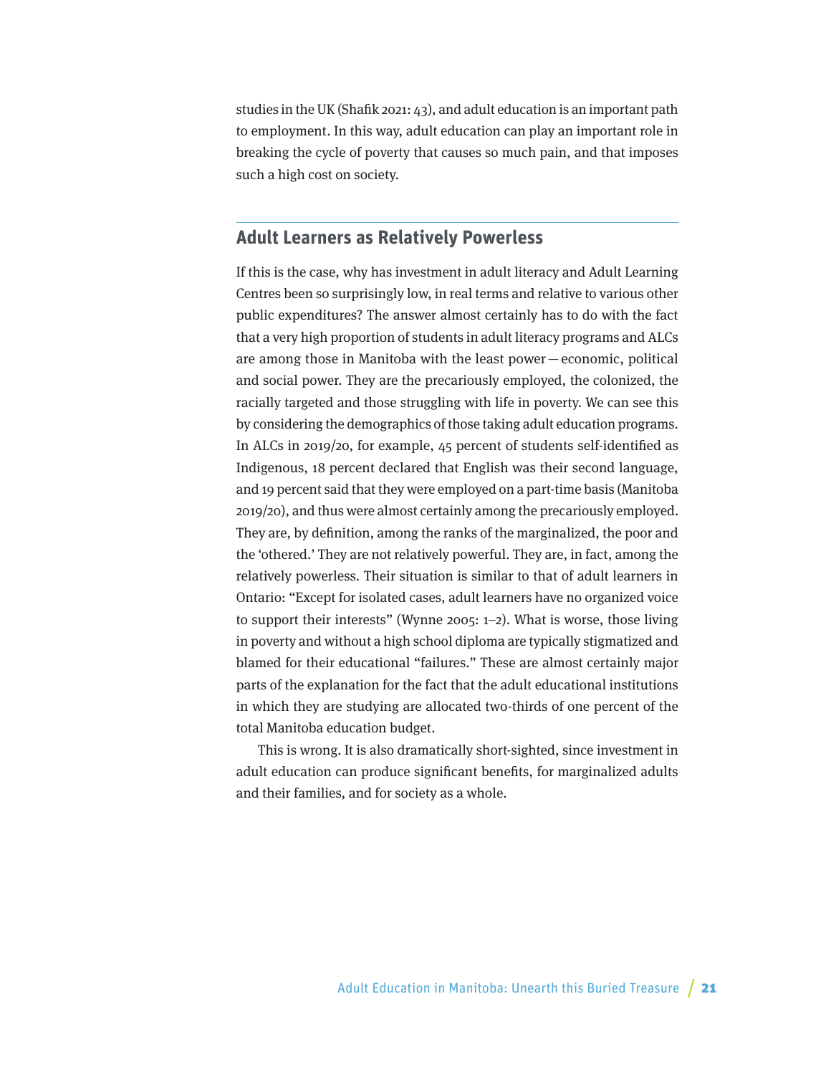studies in the UK (Shafik 2021: 43), and adult education is an important path to employment. In this way, adult education can play an important role in breaking the cycle of poverty that causes so much pain, and that imposes such a high cost on society.

### **Adult Learners as Relatively Powerless**

If this is the case, why has investment in adult literacy and Adult Learning Centres been so surprisingly low, in real terms and relative to various other public expenditures? The answer almost certainly has to do with the fact that a very high proportion of students in adult literacy programs and ALCs are among those in Manitoba with the least power—economic, political and social power. They are the precariously employed, the colonized, the racially targeted and those struggling with life in poverty. We can see this by considering the demographics of those taking adult education programs. In ALCs in 2019/20, for example, 45 percent of students self-identified as Indigenous, 18 percent declared that English was their second language, and 19 percent said that they were employed on a part-time basis (Manitoba 2019/20), and thus were almost certainly among the precariously employed. They are, by definition, among the ranks of the marginalized, the poor and the 'othered.' They are not relatively powerful. They are, in fact, among the relatively powerless. Their situation is similar to that of adult learners in Ontario: "Except for isolated cases, adult learners have no organized voice to support their interests" (Wynne 2005: 1–2). What is worse, those living in poverty and without a high school diploma are typically stigmatized and blamed for their educational "failures." These are almost certainly major parts of the explanation for the fact that the adult educational institutions in which they are studying are allocated two-thirds of one percent of the total Manitoba education budget.

This is wrong. It is also dramatically short-sighted, since investment in adult education can produce significant benefits, for marginalized adults and their families, and for society as a whole.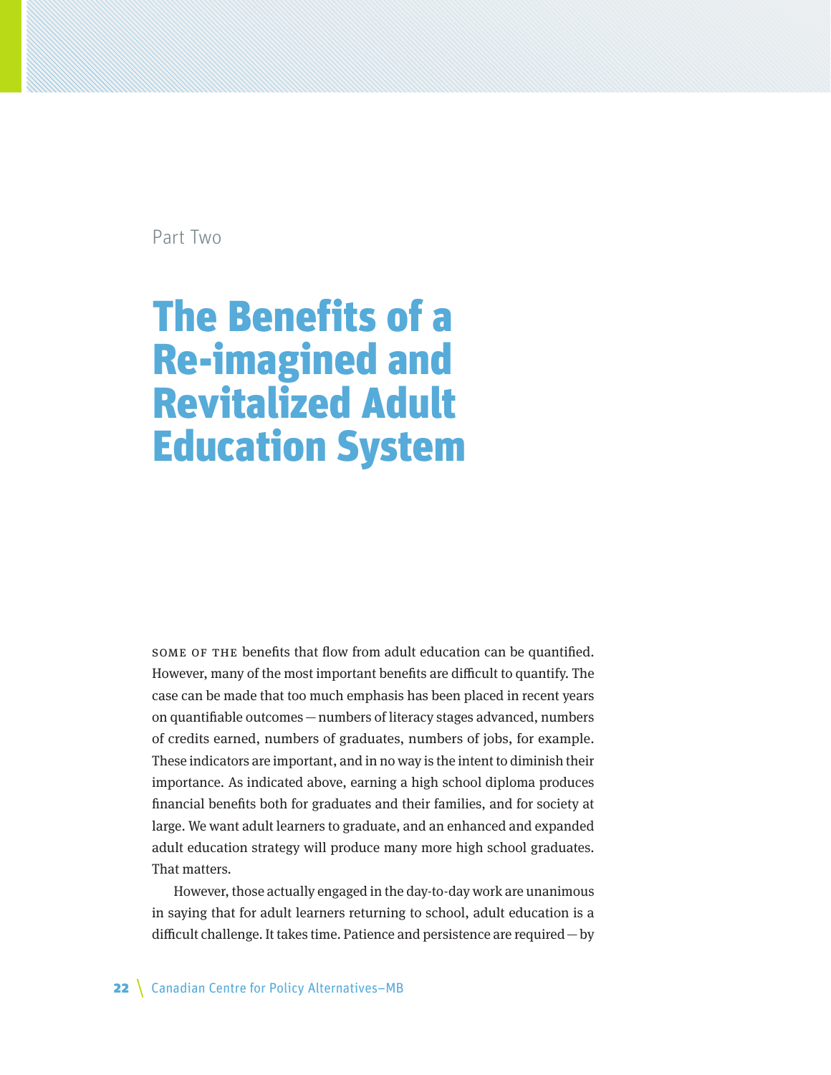Part Two

## The Benefits of a Re-imagined and Revitalized Adult Education System

Some of the benefits that flow from adult education can be quantified. However, many of the most important benefits are difficult to quantify. The case can be made that too much emphasis has been placed in recent years on quantifiable outcomes—numbers of literacy stages advanced, numbers of credits earned, numbers of graduates, numbers of jobs, for example. These indicators are important, and in no way is the intent to diminish their importance. As indicated above, earning a high school diploma produces financial benefits both for graduates and their families, and for society at large. We want adult learners to graduate, and an enhanced and expanded adult education strategy will produce many more high school graduates. That matters.

However, those actually engaged in the day-to-day work are unanimous in saying that for adult learners returning to school, adult education is a difficult challenge. It takes time. Patience and persistence are required—by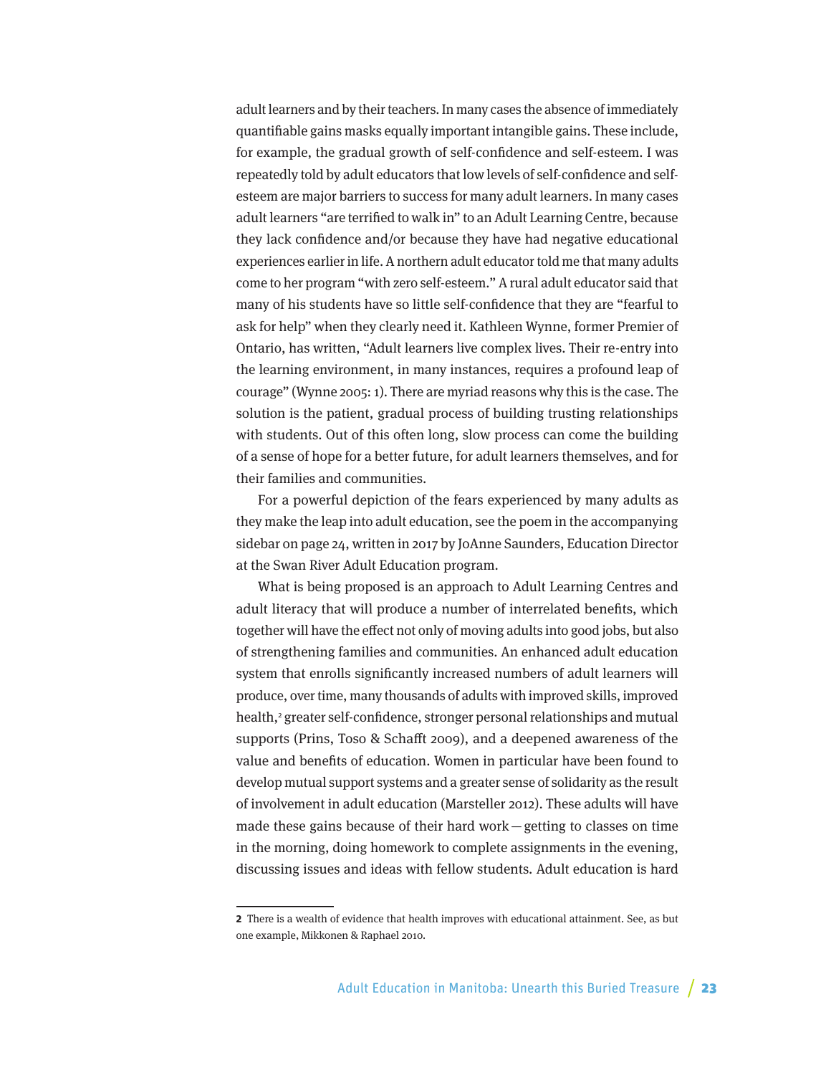adult learners and by their teachers. In many cases the absence of immediately quantifiable gains masks equally important intangible gains. These include, for example, the gradual growth of self-confidence and self-esteem. I was repeatedly told by adult educators that low levels of self-confidence and selfesteem are major barriers to success for many adult learners. In many cases adult learners "are terrified to walk in" to an Adult Learning Centre, because they lack confidence and/or because they have had negative educational experiences earlier in life. A northern adult educator told me that many adults come to her program "with zero self-esteem." A rural adult educator said that many of his students have so little self-confidence that they are "fearful to ask for help" when they clearly need it. Kathleen Wynne, former Premier of Ontario, has written, "Adult learners live complex lives. Their re-entry into the learning environment, in many instances, requires a profound leap of courage" (Wynne 2005: 1). There are myriad reasons why this is the case. The solution is the patient, gradual process of building trusting relationships with students. Out of this often long, slow process can come the building of a sense of hope for a better future, for adult learners themselves, and for their families and communities.

For a powerful depiction of the fears experienced by many adults as they make the leap into adult education, see the poem in the accompanying sidebar on page 24, written in 2017 by JoAnne Saunders, Education Director at the Swan River Adult Education program.

What is being proposed is an approach to Adult Learning Centres and adult literacy that will produce a number of interrelated benefits, which together will have the effect not only of moving adults into good jobs, but also of strengthening families and communities. An enhanced adult education system that enrolls significantly increased numbers of adult learners will produce, over time, many thousands of adults with improved skills, improved health,<sup>2</sup> greater self-confidence, stronger personal relationships and mutual supports (Prins, Toso & Schafft 2009), and a deepened awareness of the value and benefits of education. Women in particular have been found to develop mutual support systems and a greater sense of solidarity as the result of involvement in adult education (Marsteller 2012). These adults will have made these gains because of their hard work—getting to classes on time in the morning, doing homework to complete assignments in the evening, discussing issues and ideas with fellow students. Adult education is hard

**<sup>2</sup>** There is a wealth of evidence that health improves with educational attainment. See, as but one example, Mikkonen & Raphael 2010.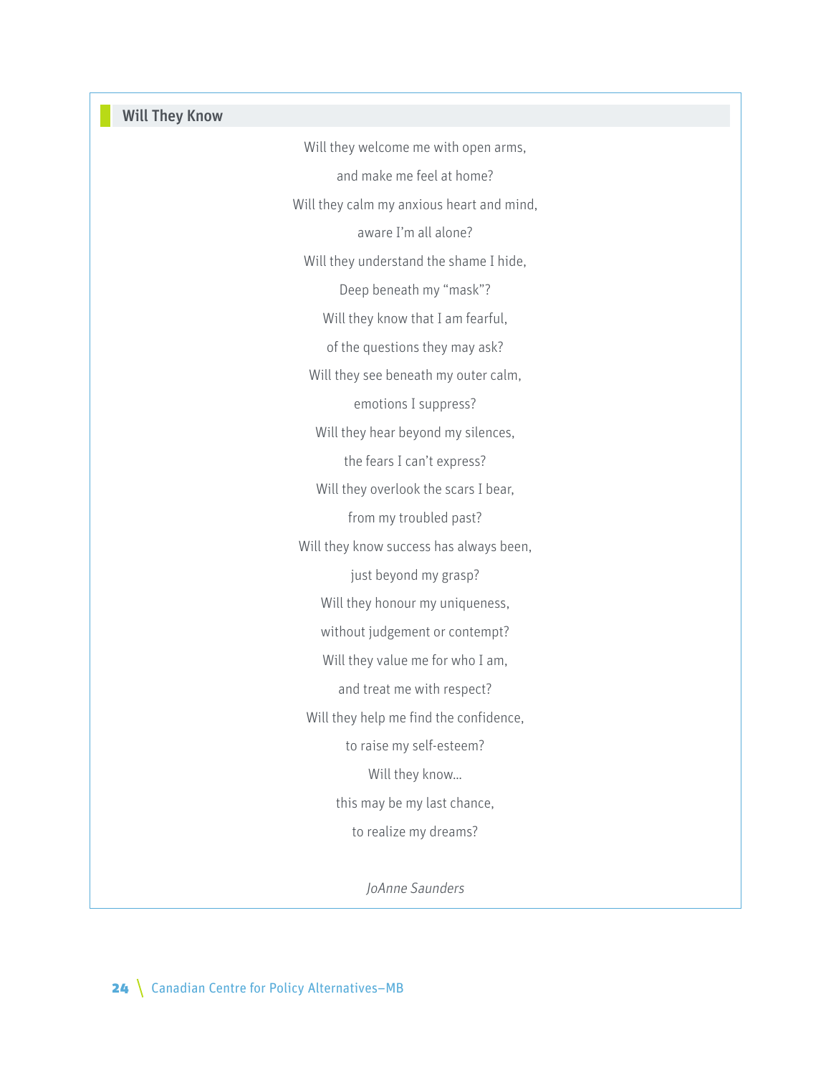## Will They Know

Will they welcome me with open arms, and make me feel at home? Will they calm my anxious heart and mind, aware I'm all alone? Will they understand the shame I hide, Deep beneath my "mask"? Will they know that I am fearful, of the questions they may ask? Will they see beneath my outer calm, emotions I suppress? Will they hear beyond my silences, the fears I can't express? Will they overlook the scars I bear, from my troubled past? Will they know success has always been, just beyond my grasp? Will they honour my uniqueness, without judgement or contempt? Will they value me for who I am, and treat me with respect? Will they help me find the confidence, to raise my self-esteem? Will they know… this may be my last chance, to realize my dreams?

JoAnne Saunders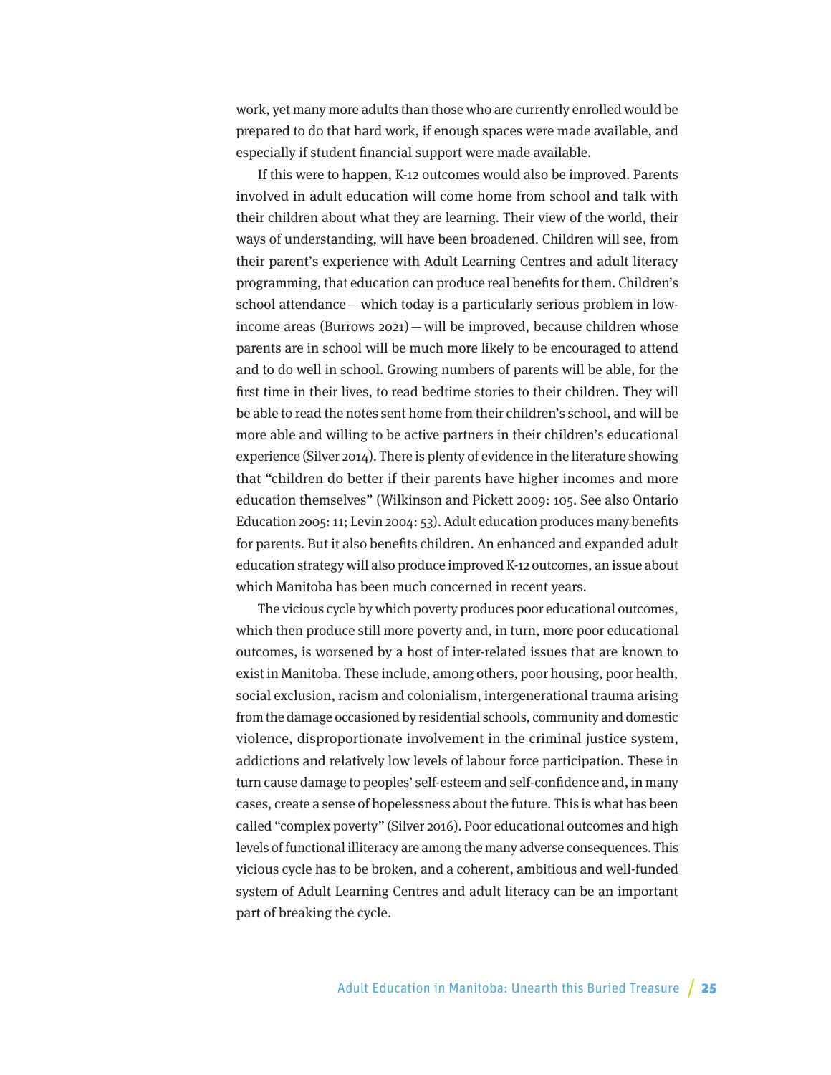work, yet many more adults than those who are currently enrolled would be prepared to do that hard work, if enough spaces were made available, and especially if student financial support were made available.

If this were to happen, K-12 outcomes would also be improved. Parents involved in adult education will come home from school and talk with their children about what they are learning. Their view of the world, their ways of understanding, will have been broadened. Children will see, from their parent's experience with Adult Learning Centres and adult literacy programming, that education can produce real benefits for them. Children's school attendance—which today is a particularly serious problem in lowincome areas (Burrows 2021)—will be improved, because children whose parents are in school will be much more likely to be encouraged to attend and to do well in school. Growing numbers of parents will be able, for the first time in their lives, to read bedtime stories to their children. They will be able to read the notes sent home from their children's school, and will be more able and willing to be active partners in their children's educational experience (Silver 2014). There is plenty of evidence in the literature showing that "children do better if their parents have higher incomes and more education themselves" (Wilkinson and Pickett 2009: 105. See also Ontario Education 2005: 11; Levin 2004: 53). Adult education produces many benefits for parents. But it also benefits children. An enhanced and expanded adult education strategy will also produce improved K-12 outcomes, an issue about which Manitoba has been much concerned in recent years.

The vicious cycle by which poverty produces poor educational outcomes, which then produce still more poverty and, in turn, more poor educational outcomes, is worsened by a host of inter-related issues that are known to exist in Manitoba. These include, among others, poor housing, poor health, social exclusion, racism and colonialism, intergenerational trauma arising from the damage occasioned by residential schools, community and domestic violence, disproportionate involvement in the criminal justice system, addictions and relatively low levels of labour force participation. These in turn cause damage to peoples' self-esteem and self-confidence and, in many cases, create a sense of hopelessness about the future. This is what has been called "complex poverty" (Silver 2016). Poor educational outcomes and high levels of functional illiteracy are among the many adverse consequences. This vicious cycle has to be broken, and a coherent, ambitious and well-funded system of Adult Learning Centres and adult literacy can be an important part of breaking the cycle.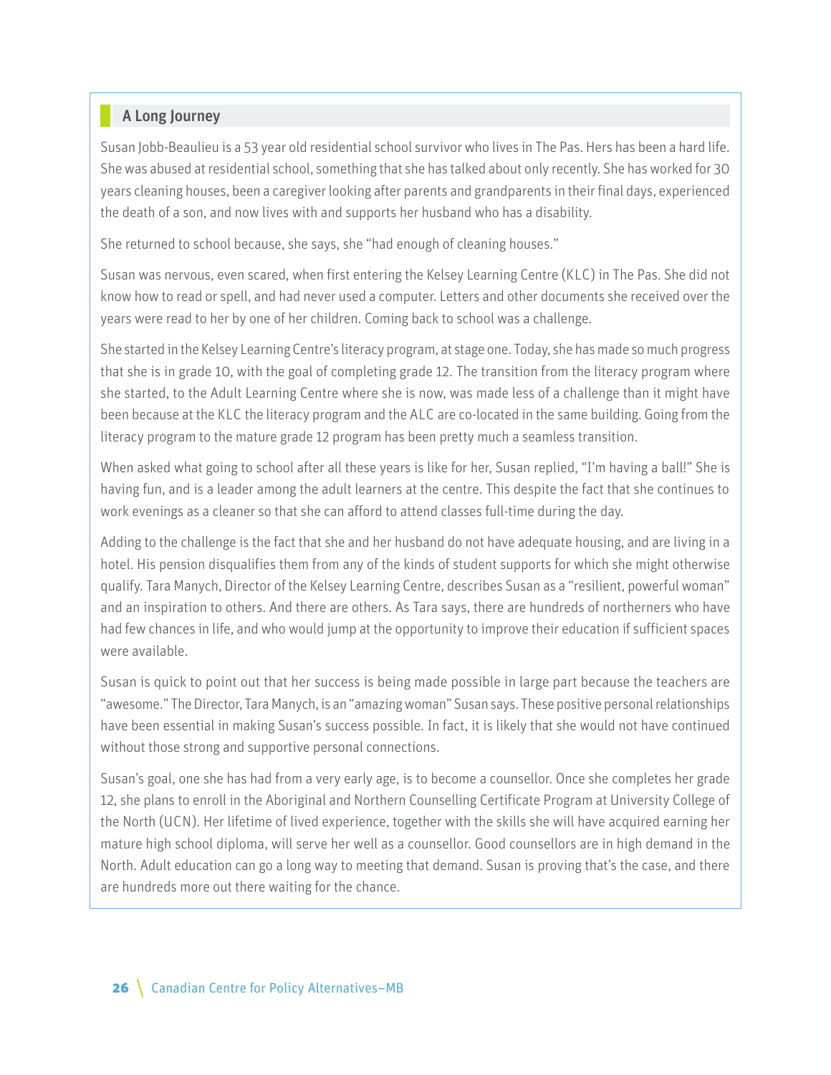### A Long Journey

Susan Jobb-Beaulieu is a 53 year old residential school survivor who lives in The Pas. Hers has been a hard life. She was abused at residential school, something that she has talked about only recently. She has worked for 30 years cleaning houses, been a caregiver looking after parents and grandparents in their final days, experienced the death of a son, and now lives with and supports her husband who has a disability.

She returned to school because, she says, she "had enough of cleaning houses."

Susan was nervous, even scared, when first entering the Kelsey Learning Centre (KLC) in The Pas. She did not know how to read or spell, and had never used a computer. Letters and other documents she received over the years were read to her by one of her children. Coming back to school was a challenge.

She started in the Kelsey Learning Centre's literacy program, at stage one. Today, she has made so much progress that she is in grade 10, with the goal of completing grade 12. The transition from the literacy program where she started, to the Adult Learning Centre where she is now, was made less of a challenge than it might have been because at the KLC the literacy program and the ALC are co-located in the same building. Going from the literacy program to the mature grade 12 program has been pretty much a seamless transition.

When asked what going to school after all these years is like for her, Susan replied, "I'm having a ball!" She is having fun, and is a leader among the adult learners at the centre. This despite the fact that she continues to work evenings as a cleaner so that she can afford to attend classes full-time during the day.

Adding to the challenge is the fact that she and her husband do not have adequate housing, and are living in a hotel. His pension disqualifies them from any of the kinds of student supports for which she might otherwise qualify. Tara Manych, Director of the Kelsey Learning Centre, describes Susan as a "resilient, powerful woman" and an inspiration to others. And there are others. As Tara says, there are hundreds of northerners who have had few chances in life, and who would jump at the opportunity to improve their education if sufficient spaces were available.

Susan is quick to point out that her success is being made possible in large part because the teachers are "awesome." The Director, Tara Manych, is an "amazing woman" Susan says. These positive personal relationships have been essential in making Susan's success possible. In fact, it is likely that she would not have continued without those strong and supportive personal connections.

Susan's goal, one she has had from a very early age, is to become a counsellor. Once she completes her grade 12, she plans to enroll in the Aboriginal and Northern Counselling Certificate Program at University College of the North (UCN). Her lifetime of lived experience, together with the skills she will have acquired earning her mature high school diploma, will serve her well as a counsellor. Good counsellors are in high demand in the North. Adult education can go a long way to meeting that demand. Susan is proving that's the case, and there are hundreds more out there waiting for the chance.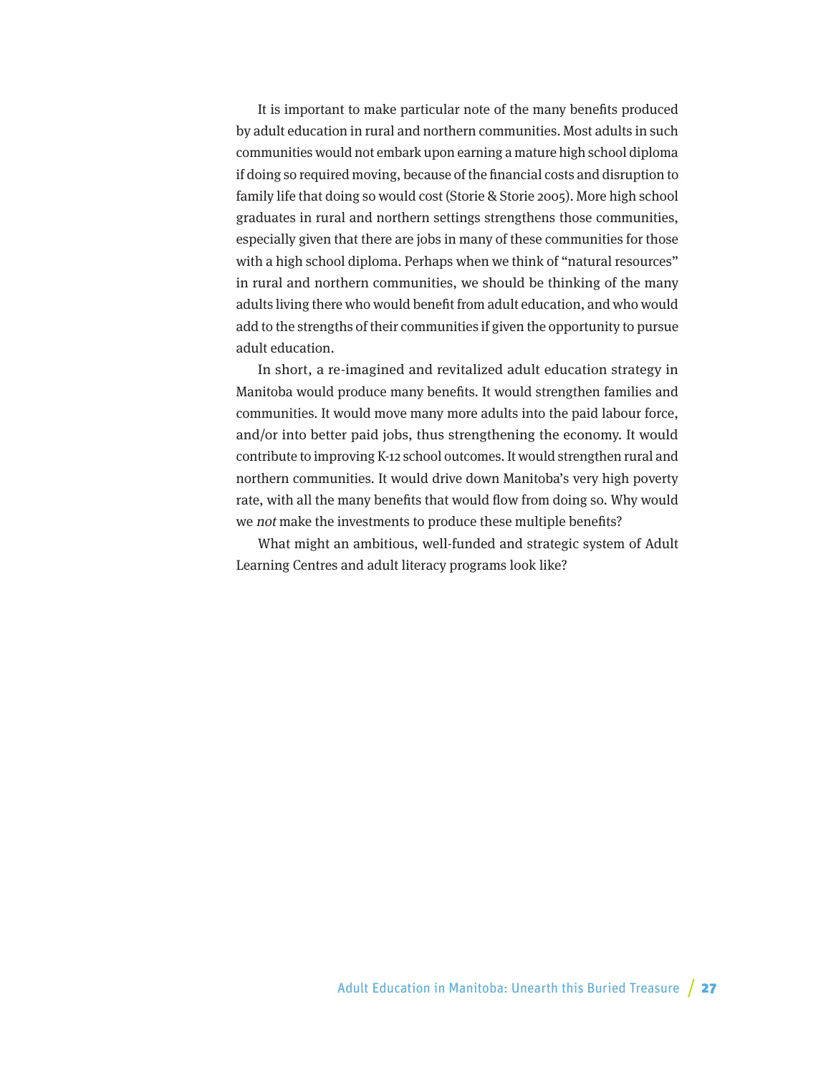It is important to make particular note of the many benefits produced by adult education in rural and northern communities. Most adults in such communities would not embark upon earning a mature high school diploma if doing so required moving, because of the financial costs and disruption to family life that doing so would cost (Storie & Storie 2005). More high school graduates in rural and northern settings strengthens those communities, especially given that there are jobs in many of these communities for those with a high school diploma. Perhaps when we think of "natural resources" in rural and northern communities, we should be thinking of the many adults living there who would benefit from adult education, and who would add to the strengths of their communities if given the opportunity to pursue adult education.

In short, a re-imagined and revitalized adult education strategy in Manitoba would produce many benefits. It would strengthen families and communities. It would move many more adults into the paid labour force, and/or into better paid jobs, thus strengthening the economy. It would contribute to improving K-12 school outcomes. It would strengthen rural and northern communities. It would drive down Manitoba's very high poverty rate, with all the many benefits that would flow from doing so. Why would we not make the investments to produce these multiple benefits?

What might an ambitious, well-funded and strategic system of Adult Learning Centres and adult literacy programs look like?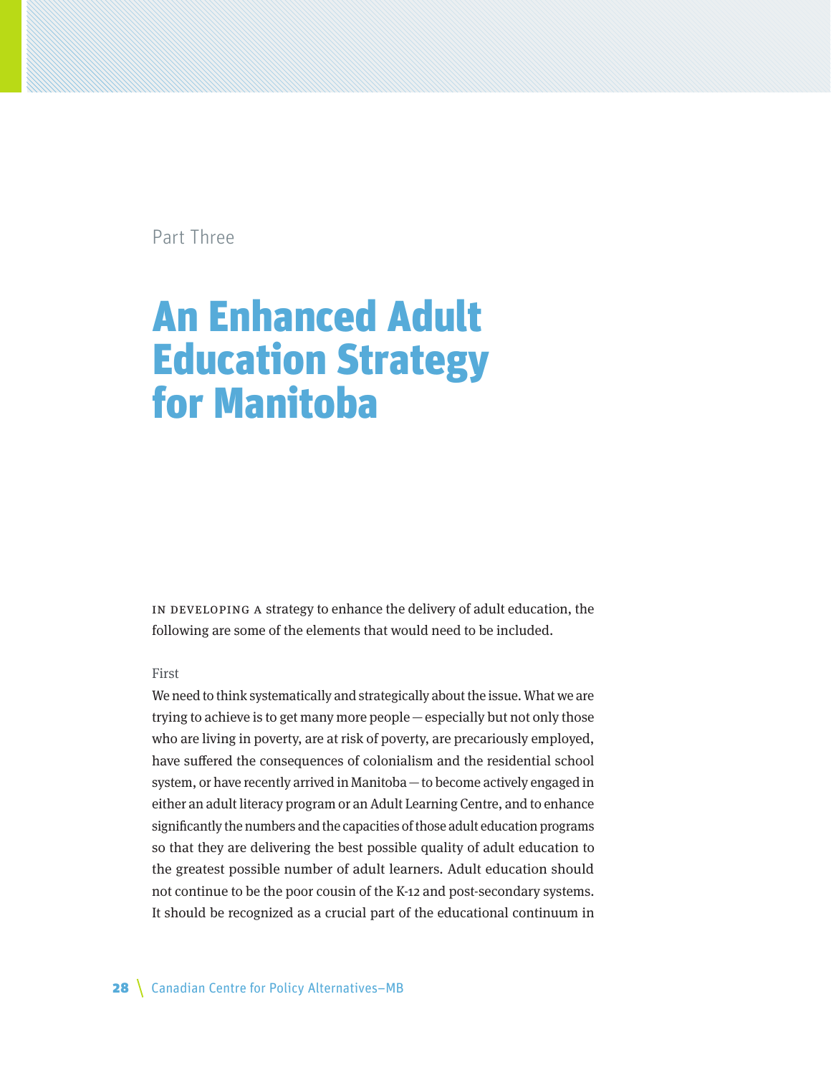Part Three

## An Enhanced Adult Education Strategy for Manitoba

IN DEVELOPING A strategy to enhance the delivery of adult education, the following are some of the elements that would need to be included.

#### First

We need to think systematically and strategically about the issue. What we are trying to achieve is to get many more people—especially but not only those who are living in poverty, are at risk of poverty, are precariously employed, have suffered the consequences of colonialism and the residential school system, or have recently arrived in Manitoba—to become actively engaged in either an adult literacy program or an Adult Learning Centre, and to enhance significantly the numbers and the capacities of those adult education programs so that they are delivering the best possible quality of adult education to the greatest possible number of adult learners. Adult education should not continue to be the poor cousin of the K-12 and post-secondary systems. It should be recognized as a crucial part of the educational continuum in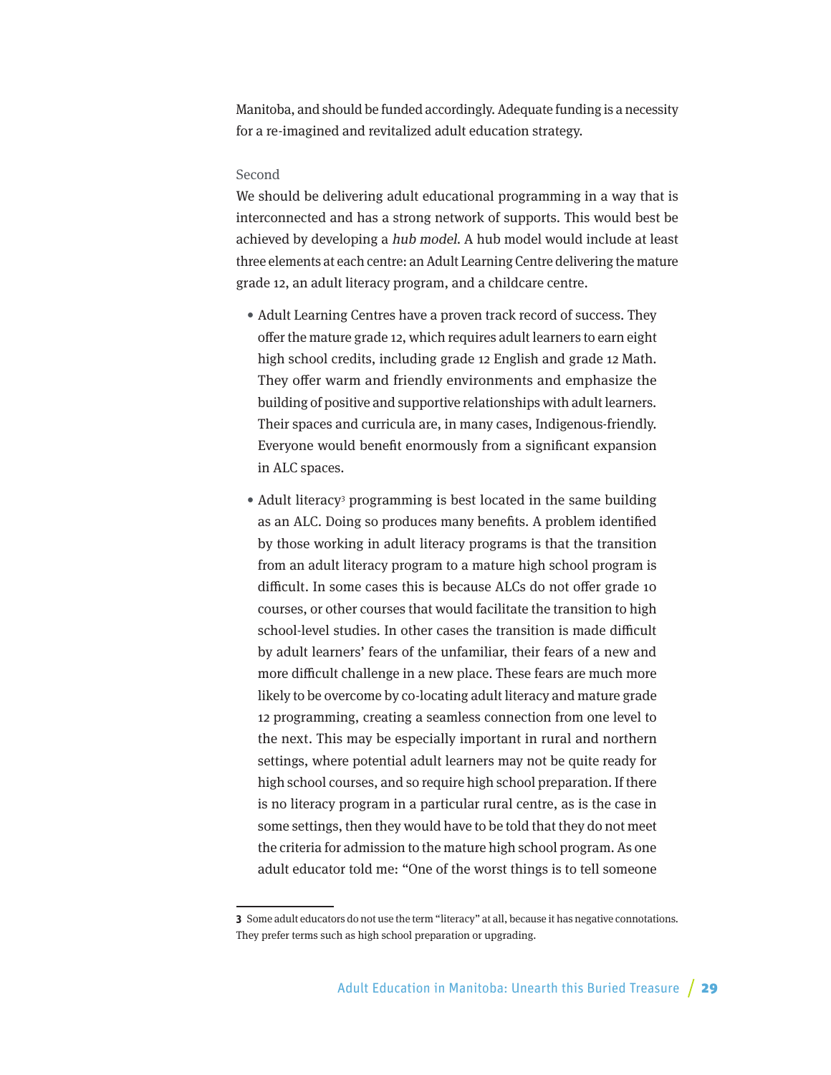Manitoba, and should be funded accordingly. Adequate funding is a necessity for a re-imagined and revitalized adult education strategy.

#### Second

We should be delivering adult educational programming in a way that is interconnected and has a strong network of supports. This would best be achieved by developing a hub model. A hub model would include at least three elements at each centre: an Adult Learning Centre delivering the mature grade 12, an adult literacy program, and a childcare centre.

- Adult Learning Centres have a proven track record of success. They offer the mature grade 12, which requires adult learners to earn eight high school credits, including grade 12 English and grade 12 Math. They offer warm and friendly environments and emphasize the building of positive and supportive relationships with adult learners. Their spaces and curricula are, in many cases, Indigenous-friendly. Everyone would benefit enormously from a significant expansion in ALC spaces.
- Adult literacy<sup>3</sup> programming is best located in the same building as an ALC. Doing so produces many benefits. A problem identified by those working in adult literacy programs is that the transition from an adult literacy program to a mature high school program is difficult. In some cases this is because ALCs do not offer grade 10 courses, or other courses that would facilitate the transition to high school-level studies. In other cases the transition is made difficult by adult learners' fears of the unfamiliar, their fears of a new and more difficult challenge in a new place. These fears are much more likely to be overcome by co-locating adult literacy and mature grade 12 programming, creating a seamless connection from one level to the next. This may be especially important in rural and northern settings, where potential adult learners may not be quite ready for high school courses, and so require high school preparation. If there is no literacy program in a particular rural centre, as is the case in some settings, then they would have to be told that they do not meet the criteria for admission to the mature high school program. As one adult educator told me: "One of the worst things is to tell someone

**<sup>3</sup>** Some adult educators do not use the term "literacy" at all, because it has negative connotations. They prefer terms such as high school preparation or upgrading.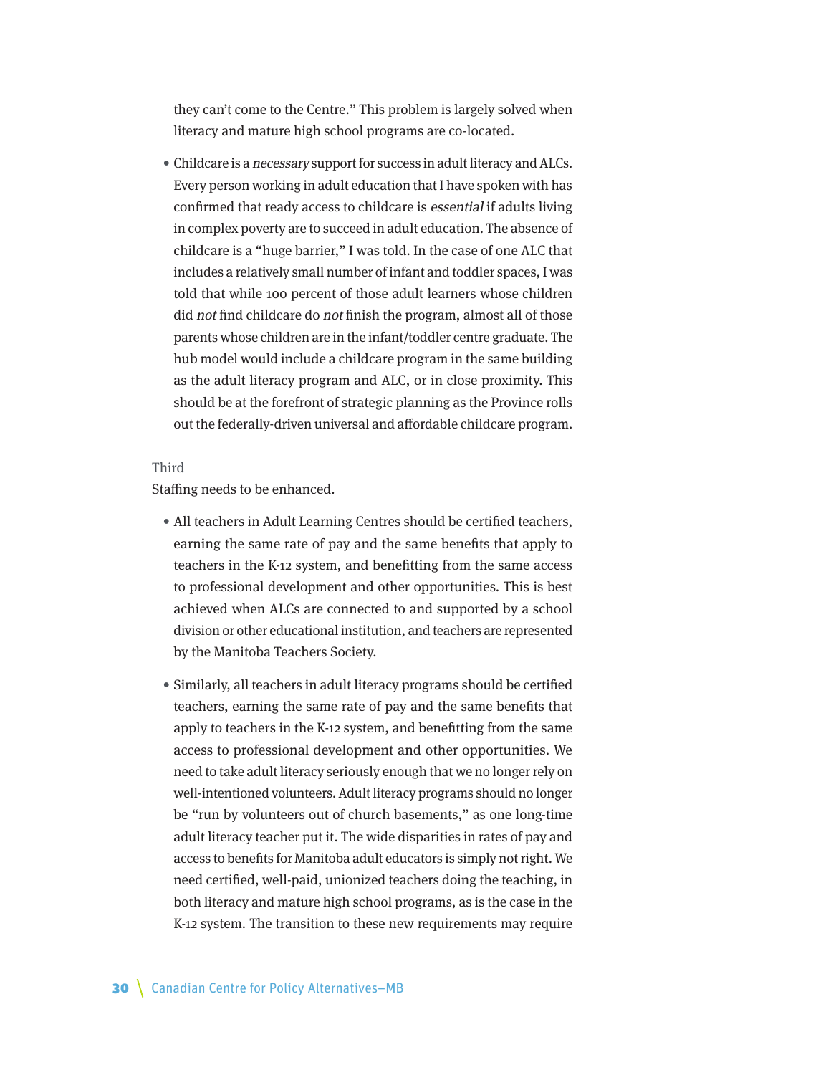they can't come to the Centre." This problem is largely solved when literacy and mature high school programs are co-located.

• Childcare is a necessary support for success in adult literacy and ALCs. Every person working in adult education that I have spoken with has confirmed that ready access to childcare is essential if adults living in complex poverty are to succeed in adult education. The absence of childcare is a "huge barrier," I was told. In the case of one ALC that includes a relatively small number of infant and toddler spaces, I was told that while 100 percent of those adult learners whose children did not find childcare do not finish the program, almost all of those parents whose children are in the infant/toddler centre graduate. The hub model would include a childcare program in the same building as the adult literacy program and ALC, or in close proximity. This should be at the forefront of strategic planning as the Province rolls out the federally-driven universal and affordable childcare program.

### Third

Staffing needs to be enhanced.

- All teachers in Adult Learning Centres should be certified teachers, earning the same rate of pay and the same benefits that apply to teachers in the K-12 system, and benefitting from the same access to professional development and other opportunities. This is best achieved when ALCs are connected to and supported by a school division or other educational institution, and teachers are represented by the Manitoba Teachers Society.
- Similarly, all teachers in adult literacy programs should be certified teachers, earning the same rate of pay and the same benefits that apply to teachers in the K-12 system, and benefitting from the same access to professional development and other opportunities. We need to take adult literacy seriously enough that we no longer rely on well-intentioned volunteers. Adult literacy programs should no longer be "run by volunteers out of church basements," as one long-time adult literacy teacher put it. The wide disparities in rates of pay and access to benefits for Manitoba adult educators is simply not right. We need certified, well-paid, unionized teachers doing the teaching, in both literacy and mature high school programs, as is the case in the K-12 system. The transition to these new requirements may require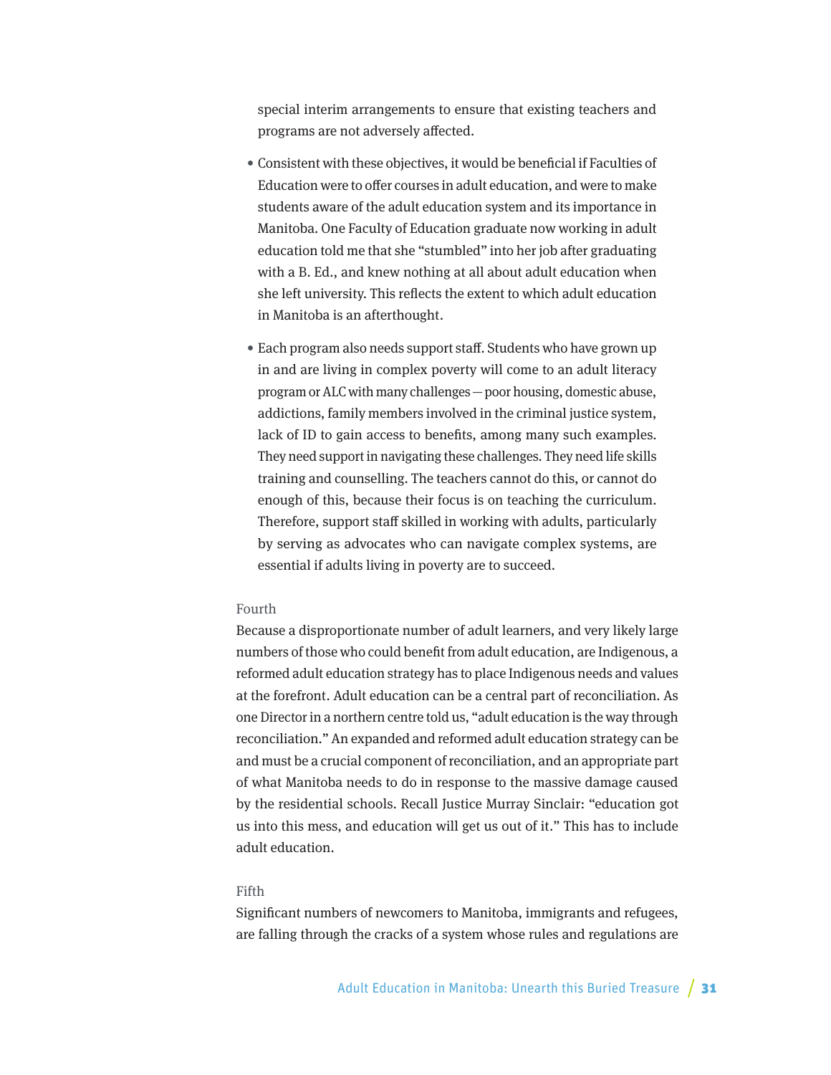special interim arrangements to ensure that existing teachers and programs are not adversely affected.

- Consistent with these objectives, it would be beneficial if Faculties of Education were to offer courses in adult education, and were to make students aware of the adult education system and its importance in Manitoba. One Faculty of Education graduate now working in adult education told me that she "stumbled" into her job after graduating with a B. Ed., and knew nothing at all about adult education when she left university. This reflects the extent to which adult education in Manitoba is an afterthought.
- Each program also needs support staff. Students who have grown up in and are living in complex poverty will come to an adult literacy program or ALC with many challenges—poor housing, domestic abuse, addictions, family members involved in the criminal justice system, lack of ID to gain access to benefits, among many such examples. They need support in navigating these challenges. They need life skills training and counselling. The teachers cannot do this, or cannot do enough of this, because their focus is on teaching the curriculum. Therefore, support staff skilled in working with adults, particularly by serving as advocates who can navigate complex systems, are essential if adults living in poverty are to succeed.

### Fourth

Because a disproportionate number of adult learners, and very likely large numbers of those who could benefit from adult education, are Indigenous, a reformed adult education strategy has to place Indigenous needs and values at the forefront. Adult education can be a central part of reconciliation. As one Director in a northern centre told us, "adult education is the way through reconciliation." An expanded and reformed adult education strategy can be and must be a crucial component of reconciliation, and an appropriate part of what Manitoba needs to do in response to the massive damage caused by the residential schools. Recall Justice Murray Sinclair: "education got us into this mess, and education will get us out of it." This has to include adult education.

### Fifth

Significant numbers of newcomers to Manitoba, immigrants and refugees, are falling through the cracks of a system whose rules and regulations are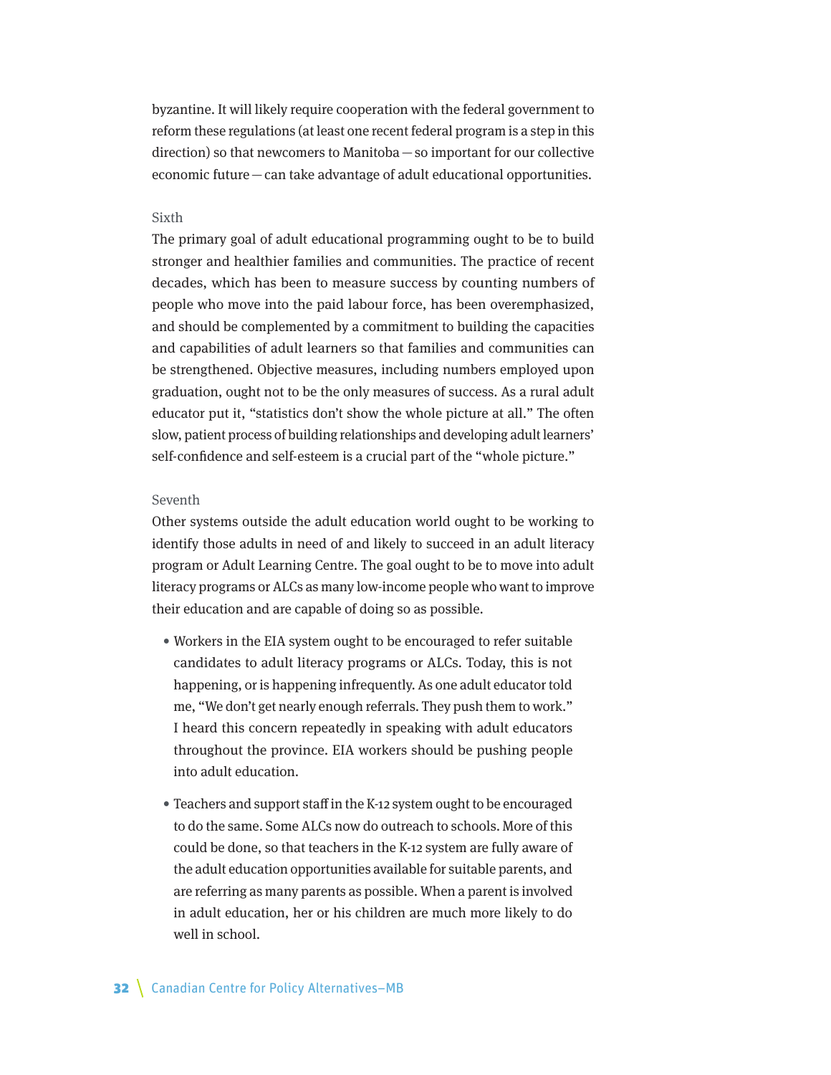byzantine. It will likely require cooperation with the federal government to reform these regulations (at least one recent federal program is a step in this direction) so that newcomers to Manitoba—so important for our collective economic future—can take advantage of adult educational opportunities.

#### Sixth

The primary goal of adult educational programming ought to be to build stronger and healthier families and communities. The practice of recent decades, which has been to measure success by counting numbers of people who move into the paid labour force, has been overemphasized, and should be complemented by a commitment to building the capacities and capabilities of adult learners so that families and communities can be strengthened. Objective measures, including numbers employed upon graduation, ought not to be the only measures of success. As a rural adult educator put it, "statistics don't show the whole picture at all." The often slow, patient process of building relationships and developing adult learners' self-confidence and self-esteem is a crucial part of the "whole picture."

### Seventh

Other systems outside the adult education world ought to be working to identify those adults in need of and likely to succeed in an adult literacy program or Adult Learning Centre. The goal ought to be to move into adult literacy programs or ALCs as many low-income people who want to improve their education and are capable of doing so as possible.

- Workers in the EIA system ought to be encouraged to refer suitable candidates to adult literacy programs or ALCs. Today, this is not happening, or is happening infrequently. As one adult educator told me, "We don't get nearly enough referrals. They push them to work." I heard this concern repeatedly in speaking with adult educators throughout the province. EIA workers should be pushing people into adult education.
- Teachers and support staff in the K-12 system ought to be encouraged to do the same. Some ALCs now do outreach to schools. More of this could be done, so that teachers in the K-12 system are fully aware of the adult education opportunities available for suitable parents, and are referring as many parents as possible. When a parent is involved in adult education, her or his children are much more likely to do well in school.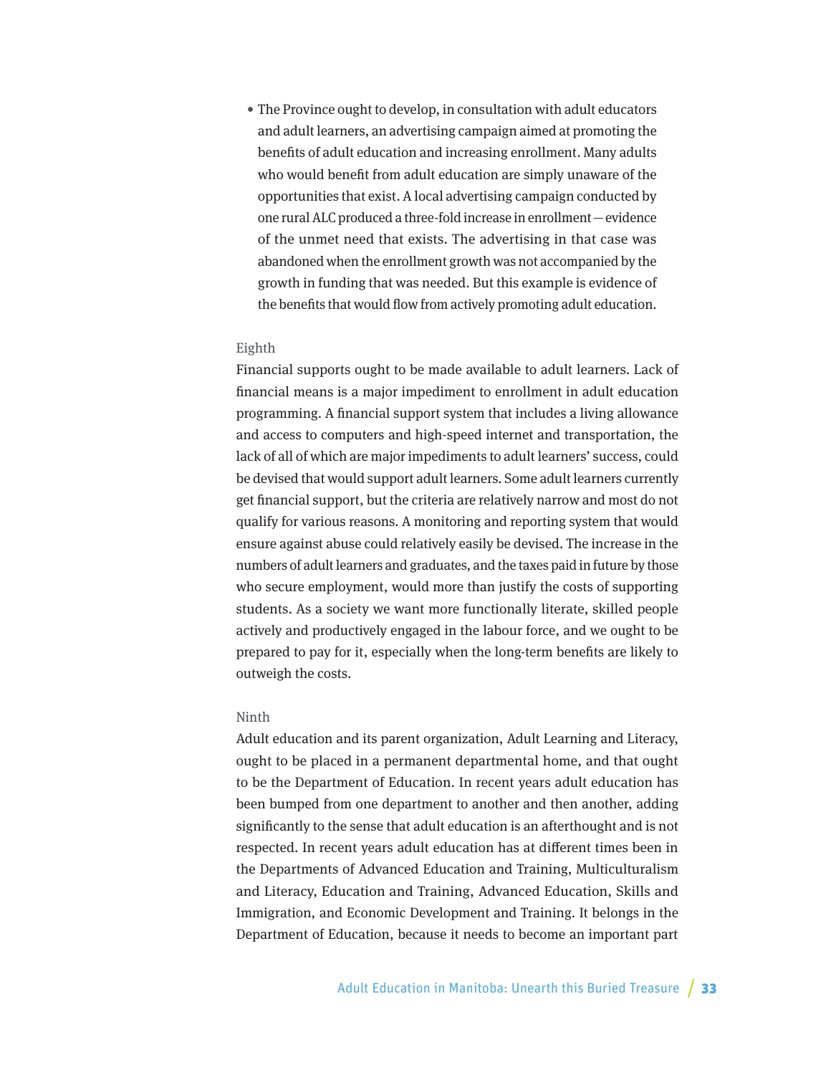• The Province ought to develop, in consultation with adult educators and adult learners, an advertising campaign aimed at promoting the benefits of adult education and increasing enrollment. Many adults who would benefit from adult education are simply unaware of the opportunities that exist. A local advertising campaign conducted by one rural ALC produced a three-fold increase in enrollment—evidence of the unmet need that exists. The advertising in that case was abandoned when the enrollment growth was not accompanied by the growth in funding that was needed. But this example is evidence of the benefits that would flow from actively promoting adult education.

### Eighth

Financial supports ought to be made available to adult learners. Lack of financial means is a major impediment to enrollment in adult education programming. A financial support system that includes a living allowance and access to computers and high-speed internet and transportation, the lack of all of which are major impediments to adult learners' success, could be devised that would support adult learners. Some adult learners currently get financial support, but the criteria are relatively narrow and most do not qualify for various reasons. A monitoring and reporting system that would ensure against abuse could relatively easily be devised. The increase in the numbers of adult learners and graduates, and the taxes paid in future by those who secure employment, would more than justify the costs of supporting students. As a society we want more functionally literate, skilled people actively and productively engaged in the labour force, and we ought to be prepared to pay for it, especially when the long-term benefits are likely to outweigh the costs.

### Ninth

Adult education and its parent organization, Adult Learning and Literacy, ought to be placed in a permanent departmental home, and that ought to be the Department of Education. In recent years adult education has been bumped from one department to another and then another, adding significantly to the sense that adult education is an afterthought and is not respected. In recent years adult education has at different times been in the Departments of Advanced Education and Training, Multiculturalism and Literacy, Education and Training, Advanced Education, Skills and Immigration, and Economic Development and Training. It belongs in the Department of Education, because it needs to become an important part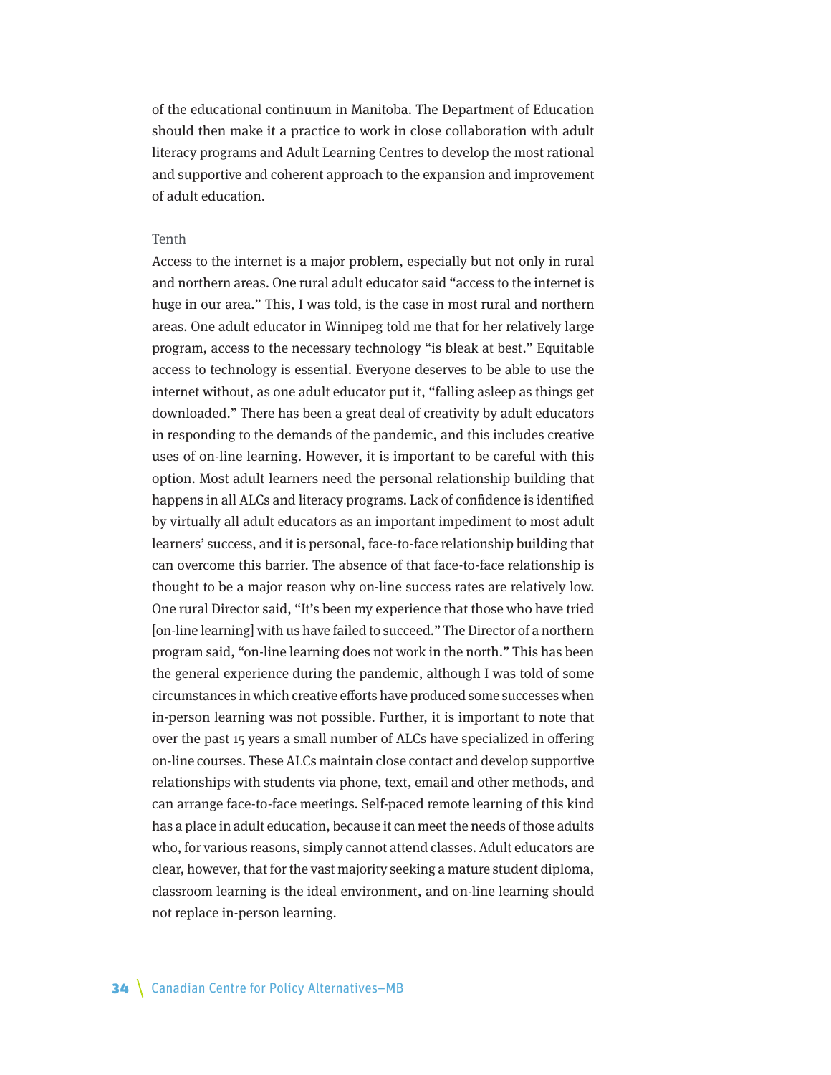of the educational continuum in Manitoba. The Department of Education should then make it a practice to work in close collaboration with adult literacy programs and Adult Learning Centres to develop the most rational and supportive and coherent approach to the expansion and improvement of adult education.

### Tenth

Access to the internet is a major problem, especially but not only in rural and northern areas. One rural adult educator said "access to the internet is huge in our area." This, I was told, is the case in most rural and northern areas. One adult educator in Winnipeg told me that for her relatively large program, access to the necessary technology "is bleak at best." Equitable access to technology is essential. Everyone deserves to be able to use the internet without, as one adult educator put it, "falling asleep as things get downloaded." There has been a great deal of creativity by adult educators in responding to the demands of the pandemic, and this includes creative uses of on-line learning. However, it is important to be careful with this option. Most adult learners need the personal relationship building that happens in all ALCs and literacy programs. Lack of confidence is identified by virtually all adult educators as an important impediment to most adult learners' success, and it is personal, face-to-face relationship building that can overcome this barrier. The absence of that face-to-face relationship is thought to be a major reason why on-line success rates are relatively low. One rural Director said, "It's been my experience that those who have tried [on-line learning] with us have failed to succeed." The Director of a northern program said, "on-line learning does not work in the north." This has been the general experience during the pandemic, although I was told of some circumstances in which creative efforts have produced some successes when in-person learning was not possible. Further, it is important to note that over the past 15 years a small number of ALCs have specialized in offering on-line courses. These ALCs maintain close contact and develop supportive relationships with students via phone, text, email and other methods, and can arrange face-to-face meetings. Self-paced remote learning of this kind has a place in adult education, because it can meet the needs of those adults who, for various reasons, simply cannot attend classes. Adult educators are clear, however, that for the vast majority seeking a mature student diploma, classroom learning is the ideal environment, and on-line learning should not replace in-person learning.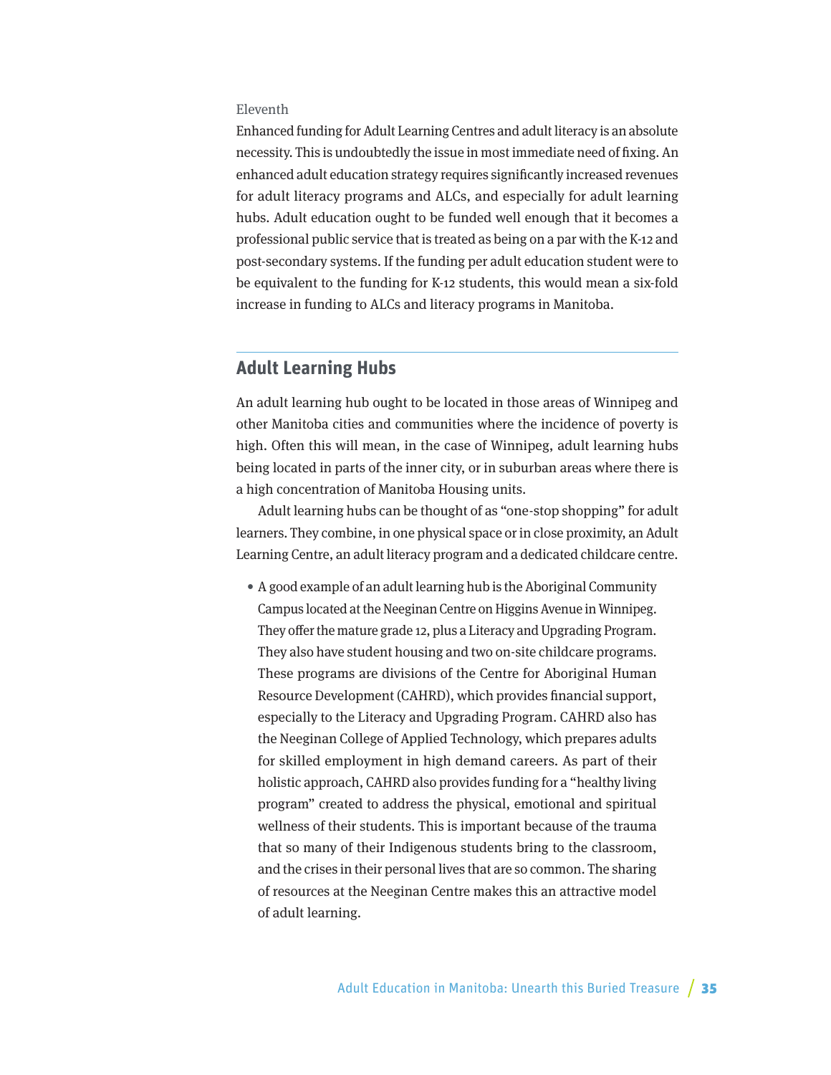### Eleventh

Enhanced funding for Adult Learning Centres and adult literacy is an absolute necessity. This is undoubtedly the issue in most immediate need of fixing. An enhanced adult education strategy requires significantly increased revenues for adult literacy programs and ALCs, and especially for adult learning hubs. Adult education ought to be funded well enough that it becomes a professional public service that is treated as being on a par with the K-12 and post-secondary systems. If the funding per adult education student were to be equivalent to the funding for K-12 students, this would mean a six-fold increase in funding to ALCs and literacy programs in Manitoba.

## **Adult Learning Hubs**

An adult learning hub ought to be located in those areas of Winnipeg and other Manitoba cities and communities where the incidence of poverty is high. Often this will mean, in the case of Winnipeg, adult learning hubs being located in parts of the inner city, or in suburban areas where there is a high concentration of Manitoba Housing units.

Adult learning hubs can be thought of as "one-stop shopping" for adult learners. They combine, in one physical space or in close proximity, an Adult Learning Centre, an adult literacy program and a dedicated childcare centre.

• A good example of an adult learning hub is the Aboriginal Community Campus located at the Neeginan Centre on Higgins Avenue in Winnipeg. They offer the mature grade 12, plus a Literacy and Upgrading Program. They also have student housing and two on-site childcare programs. These programs are divisions of the Centre for Aboriginal Human Resource Development (CAHRD), which provides financial support, especially to the Literacy and Upgrading Program. CAHRD also has the Neeginan College of Applied Technology, which prepares adults for skilled employment in high demand careers. As part of their holistic approach, CAHRD also provides funding for a "healthy living program" created to address the physical, emotional and spiritual wellness of their students. This is important because of the trauma that so many of their Indigenous students bring to the classroom, and the crises in their personal lives that are so common. The sharing of resources at the Neeginan Centre makes this an attractive model of adult learning.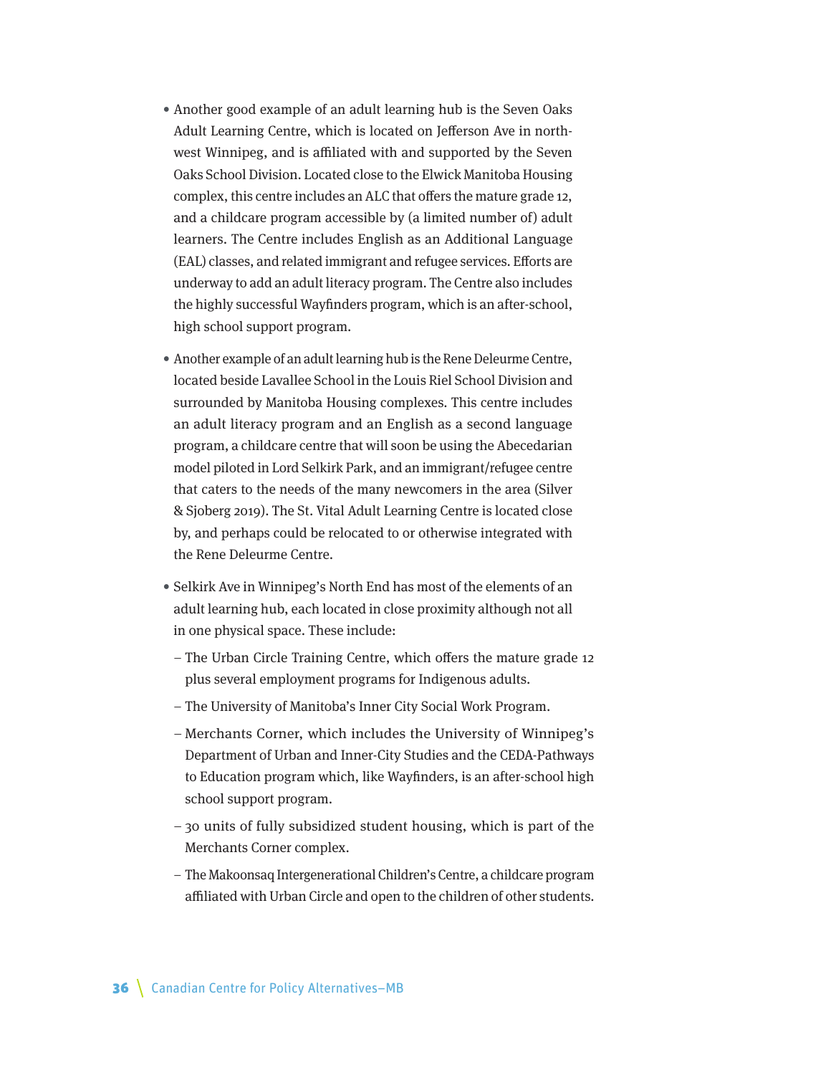- Another good example of an adult learning hub is the Seven Oaks Adult Learning Centre, which is located on Jefferson Ave in northwest Winnipeg, and is affiliated with and supported by the Seven Oaks School Division. Located close to the Elwick Manitoba Housing complex, this centre includes an ALC that offers the mature grade 12, and a childcare program accessible by (a limited number of) adult learners. The Centre includes English as an Additional Language (EAL) classes, and related immigrant and refugee services. Efforts are underway to add an adult literacy program. The Centre also includes the highly successful Wayfinders program, which is an after-school, high school support program.
- Another example of an adult learning hub is the Rene Deleurme Centre, located beside Lavallee School in the Louis Riel School Division and surrounded by Manitoba Housing complexes. This centre includes an adult literacy program and an English as a second language program, a childcare centre that will soon be using the Abecedarian model piloted in Lord Selkirk Park, and an immigrant/refugee centre that caters to the needs of the many newcomers in the area (Silver & Sjoberg 2019). The St. Vital Adult Learning Centre is located close by, and perhaps could be relocated to or otherwise integrated with the Rene Deleurme Centre.
- Selkirk Ave in Winnipeg's North End has most of the elements of an adult learning hub, each located in close proximity although not all in one physical space. These include:
	- The Urban Circle Training Centre, which offers the mature grade 12 plus several employment programs for Indigenous adults.
	- The University of Manitoba's Inner City Social Work Program.
	- Merchants Corner, which includes the University of Winnipeg's Department of Urban and Inner-City Studies and the CEDA-Pathways to Education program which, like Wayfinders, is an after-school high school support program.
	- 30 units of fully subsidized student housing, which is part of the Merchants Corner complex.
	- The Makoonsaq Intergenerational Children's Centre, a childcare program affiliated with Urban Circle and open to the children of other students.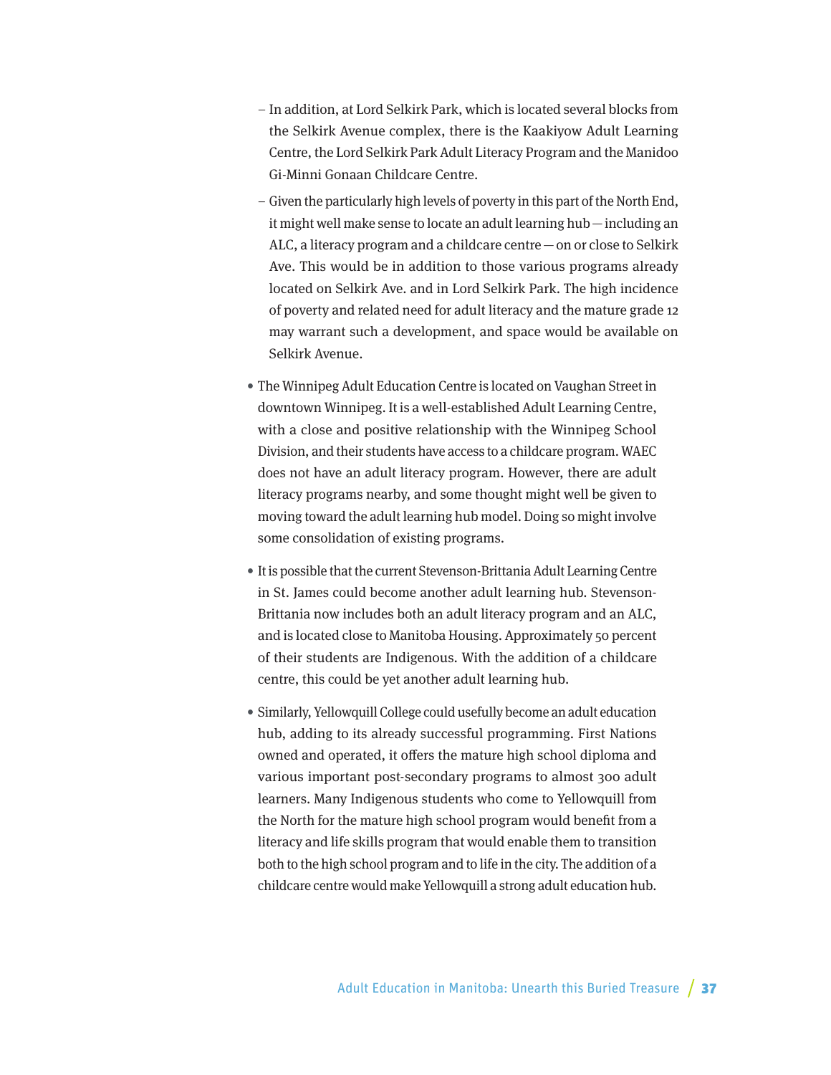- In addition, at Lord Selkirk Park, which is located several blocks from the Selkirk Avenue complex, there is the Kaakiyow Adult Learning Centre, the Lord Selkirk Park Adult Literacy Program and the Manidoo Gi-Minni Gonaan Childcare Centre.
- Given the particularly high levels of poverty in this part of the North End, it might well make sense to locate an adult learning hub—including an ALC, a literacy program and a childcare centre—on or close to Selkirk Ave. This would be in addition to those various programs already located on Selkirk Ave. and in Lord Selkirk Park. The high incidence of poverty and related need for adult literacy and the mature grade 12 may warrant such a development, and space would be available on Selkirk Avenue.
- The Winnipeg Adult Education Centre is located on Vaughan Street in downtown Winnipeg. It is a well-established Adult Learning Centre, with a close and positive relationship with the Winnipeg School Division, and their students have access to a childcare program. WAEC does not have an adult literacy program. However, there are adult literacy programs nearby, and some thought might well be given to moving toward the adult learning hub model. Doing so might involve some consolidation of existing programs.
- It is possible that the current Stevenson-Brittania Adult Learning Centre in St. James could become another adult learning hub. Stevenson-Brittania now includes both an adult literacy program and an ALC, and is located close to Manitoba Housing. Approximately 50 percent of their students are Indigenous. With the addition of a childcare centre, this could be yet another adult learning hub.
- Similarly, Yellowquill College could usefully become an adult education hub, adding to its already successful programming. First Nations owned and operated, it offers the mature high school diploma and various important post-secondary programs to almost 300 adult learners. Many Indigenous students who come to Yellowquill from the North for the mature high school program would benefit from a literacy and life skills program that would enable them to transition both to the high school program and to life in the city. The addition of a childcare centre would make Yellowquill a strong adult education hub.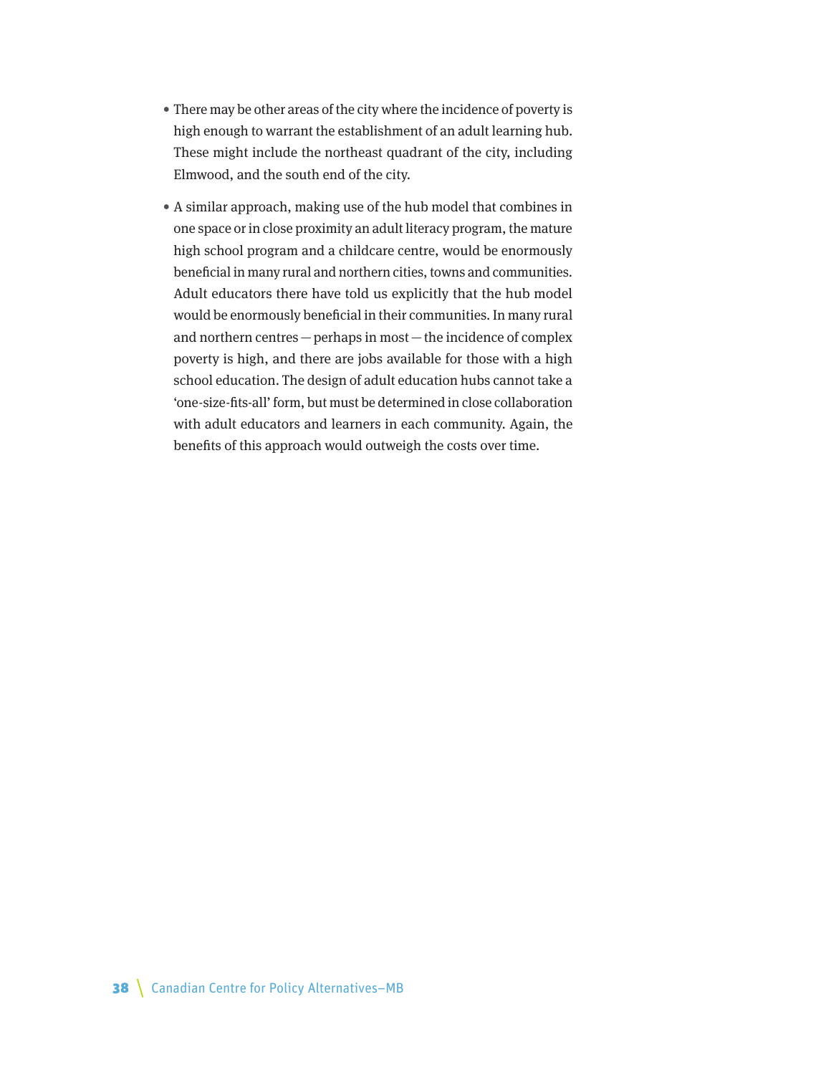- There may be other areas of the city where the incidence of poverty is high enough to warrant the establishment of an adult learning hub. These might include the northeast quadrant of the city, including Elmwood, and the south end of the city.
- A similar approach, making use of the hub model that combines in one space or in close proximity an adult literacy program, the mature high school program and a childcare centre, would be enormously beneficial in many rural and northern cities, towns and communities. Adult educators there have told us explicitly that the hub model would be enormously beneficial in their communities. In many rural and northern centres—perhaps in most—the incidence of complex poverty is high, and there are jobs available for those with a high school education. The design of adult education hubs cannot take a 'one-size-fits-all' form, but must be determined in close collaboration with adult educators and learners in each community. Again, the benefits of this approach would outweigh the costs over time.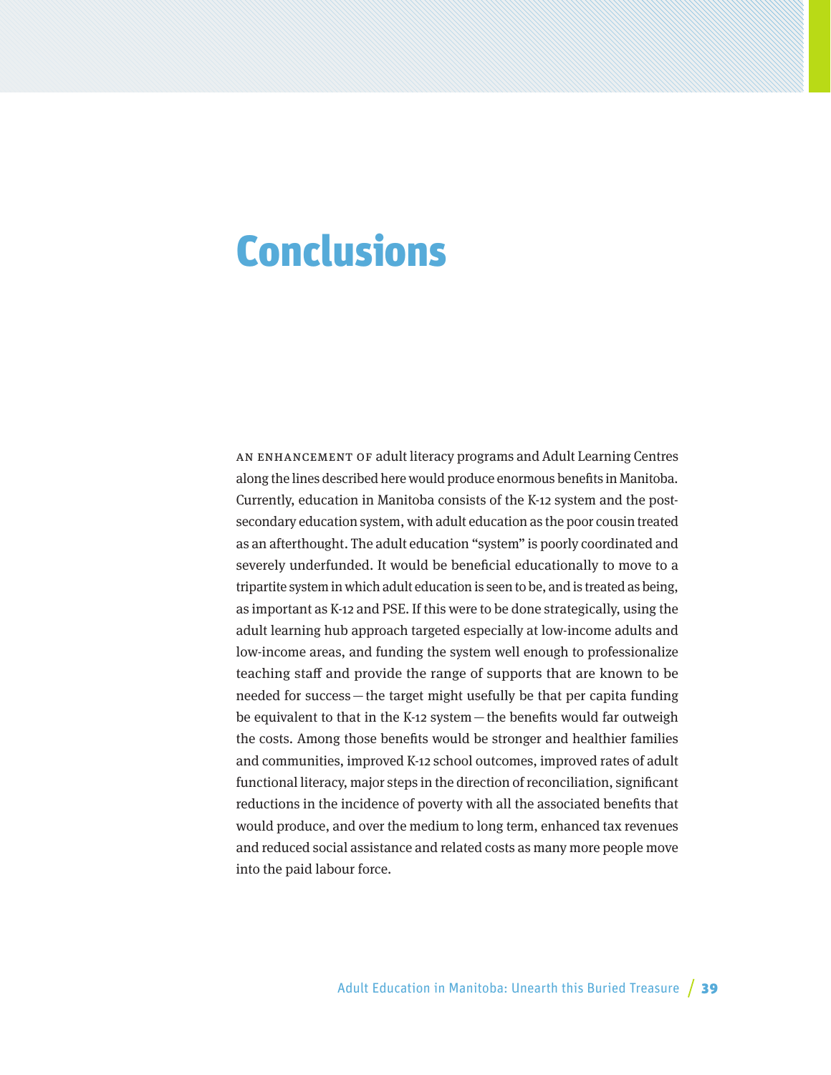## Conclusions

AN ENHANCEMENT OF adult literacy programs and Adult Learning Centres along the lines described here would produce enormous benefits in Manitoba. Currently, education in Manitoba consists of the K-12 system and the postsecondary education system, with adult education as the poor cousin treated as an afterthought. The adult education "system" is poorly coordinated and severely underfunded. It would be beneficial educationally to move to a tripartite system in which adult education is seen to be, and is treated as being, as important as K-12 and PSE. If this were to be done strategically, using the adult learning hub approach targeted especially at low-income adults and low-income areas, and funding the system well enough to professionalize teaching staff and provide the range of supports that are known to be needed for success—the target might usefully be that per capita funding be equivalent to that in the K-12 system—the benefits would far outweigh the costs. Among those benefits would be stronger and healthier families and communities, improved K-12 school outcomes, improved rates of adult functional literacy, major steps in the direction of reconciliation, significant reductions in the incidence of poverty with all the associated benefits that would produce, and over the medium to long term, enhanced tax revenues and reduced social assistance and related costs as many more people move into the paid labour force.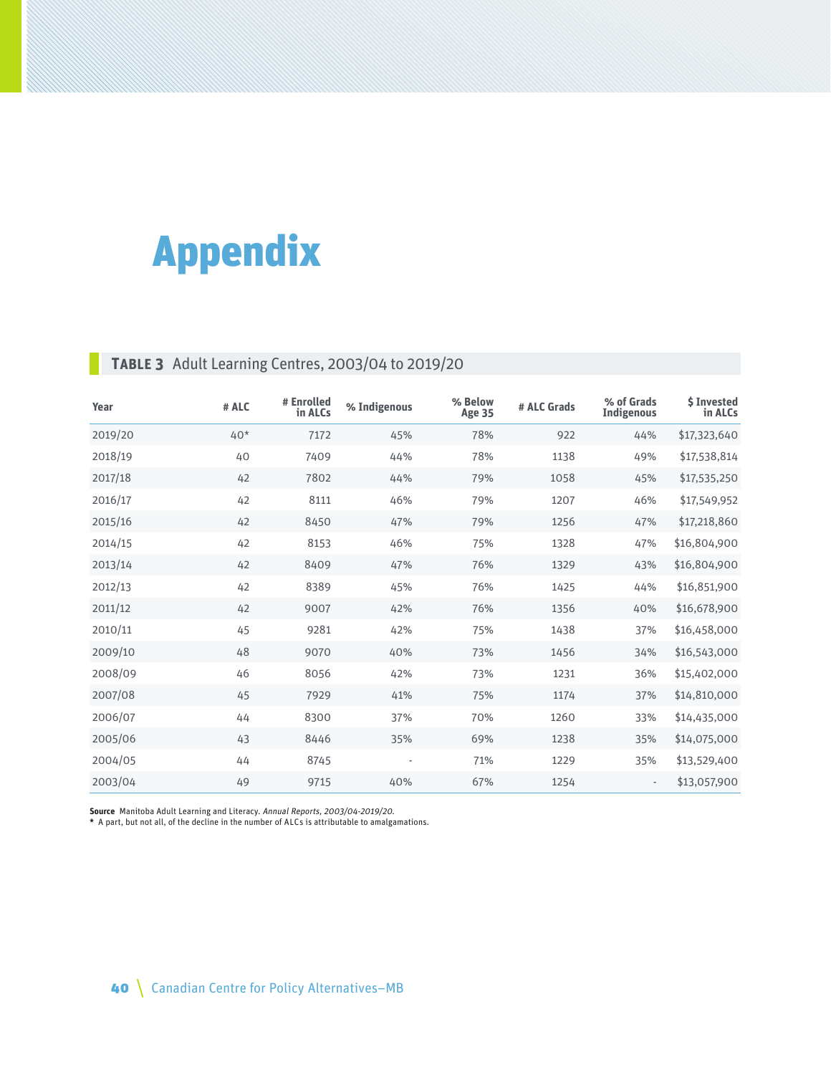# Appendix

## **Table 3** Adult Learning Centres, 2003/04 to 2019/20

| Year    | # ALC | # Enrolled<br>in ALCs | % Indigenous | % Below<br><b>Age 35</b> | # ALC Grads | % of Grads<br><b>Indigenous</b> | <b>\$Invested</b><br>in ALCs |
|---------|-------|-----------------------|--------------|--------------------------|-------------|---------------------------------|------------------------------|
| 2019/20 | $40*$ | 7172                  | 45%          | 78%                      | 922         | 44%                             | \$17,323,640                 |
| 2018/19 | 40    | 7409                  | 44%          | 78%                      | 1138        | 49%                             | \$17,538,814                 |
| 2017/18 | 42    | 7802                  | 44%          | 79%                      | 1058        | 45%                             | \$17,535,250                 |
| 2016/17 | 42    | 8111                  | 46%          | 79%                      | 1207        | 46%                             | \$17,549,952                 |
| 2015/16 | 42    | 8450                  | 47%          | 79%                      | 1256        | 47%                             | \$17,218,860                 |
| 2014/15 | 42    | 8153                  | 46%          | 75%                      | 1328        | 47%                             | \$16,804,900                 |
| 2013/14 | 42    | 8409                  | 47%          | 76%                      | 1329        | 43%                             | \$16,804,900                 |
| 2012/13 | 42    | 8389                  | 45%          | 76%                      | 1425        | 44%                             | \$16,851,900                 |
| 2011/12 | 42    | 9007                  | 42%          | 76%                      | 1356        | 40%                             | \$16,678,900                 |
| 2010/11 | 45    | 9281                  | 42%          | 75%                      | 1438        | 37%                             | \$16,458,000                 |
| 2009/10 | 48    | 9070                  | 40%          | 73%                      | 1456        | 34%                             | \$16,543,000                 |
| 2008/09 | 46    | 8056                  | 42%          | 73%                      | 1231        | 36%                             | \$15,402,000                 |
| 2007/08 | 45    | 7929                  | 41%          | 75%                      | 1174        | 37%                             | \$14,810,000                 |
| 2006/07 | 44    | 8300                  | 37%          | 70%                      | 1260        | 33%                             | \$14,435,000                 |
| 2005/06 | 43    | 8446                  | 35%          | 69%                      | 1238        | 35%                             | \$14,075,000                 |
| 2004/05 | 44    | 8745                  |              | 71%                      | 1229        | 35%                             | \$13,529,400                 |
| 2003/04 | 49    | 9715                  | 40%          | 67%                      | 1254        |                                 | \$13,057,900                 |

**Source** Manitoba Adult Learning and Literacy. Annual Reports, 2003/04-2019/20. **\*** A part, but not all, of the decline in the number of ALCs is attributable to amalgamations.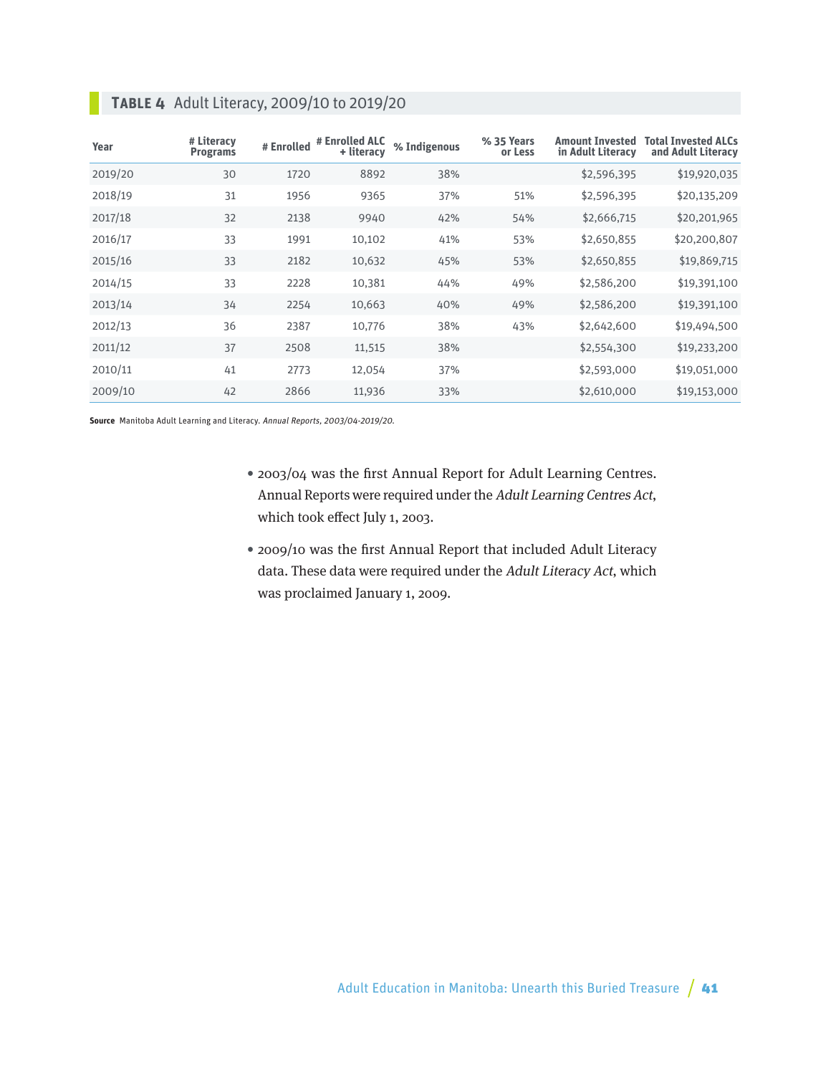| Year    | # Literacy<br><b>Programs</b> | # Enrolled | # Enrolled ALC<br>+ literacy | % Indigenous | % 35 Years<br>or Less | <b>Amount Invested</b><br>in Adult Literacy | Total Invested ALCs<br>and Adult Literacy |
|---------|-------------------------------|------------|------------------------------|--------------|-----------------------|---------------------------------------------|-------------------------------------------|
| 2019/20 | 30                            | 1720       | 8892                         | 38%          |                       | \$2,596,395                                 | \$19,920,035                              |
| 2018/19 | 31                            | 1956       | 9365                         | 37%          | 51%                   | \$2,596,395                                 | \$20,135,209                              |
| 2017/18 | 32                            | 2138       | 9940                         | 42%          | 54%                   | \$2,666,715                                 | \$20,201,965                              |
| 2016/17 | 33                            | 1991       | 10,102                       | 41%          | 53%                   | \$2,650,855                                 | \$20,200,807                              |
| 2015/16 | 33                            | 2182       | 10,632                       | 45%          | 53%                   | \$2,650,855                                 | \$19,869,715                              |
| 2014/15 | 33                            | 2228       | 10,381                       | 44%          | 49%                   | \$2,586,200                                 | \$19,391,100                              |
| 2013/14 | 34                            | 2254       | 10,663                       | 40%          | 49%                   | \$2,586,200                                 | \$19,391,100                              |
| 2012/13 | 36                            | 2387       | 10,776                       | 38%          | 43%                   | \$2,642,600                                 | \$19,494,500                              |
| 2011/12 | 37                            | 2508       | 11,515                       | 38%          |                       | \$2,554,300                                 | \$19,233,200                              |
| 2010/11 | 41                            | 2773       | 12,054                       | 37%          |                       | \$2,593,000                                 | \$19,051,000                              |
| 2009/10 | 42                            | 2866       | 11,936                       | 33%          |                       | \$2,610,000                                 | \$19,153,000                              |

## **Table 4** Adult Literacy, 2009/10 to 2019/20

**Source** Manitoba Adult Learning and Literacy. Annual Reports, 2003/04-2019/20.

- 2003/04 was the first Annual Report for Adult Learning Centres. Annual Reports were required under the Adult Learning Centres Act, which took effect July 1, 2003.
- 2009/10 was the first Annual Report that included Adult Literacy data. These data were required under the Adult Literacy Act, which was proclaimed January 1, 2009.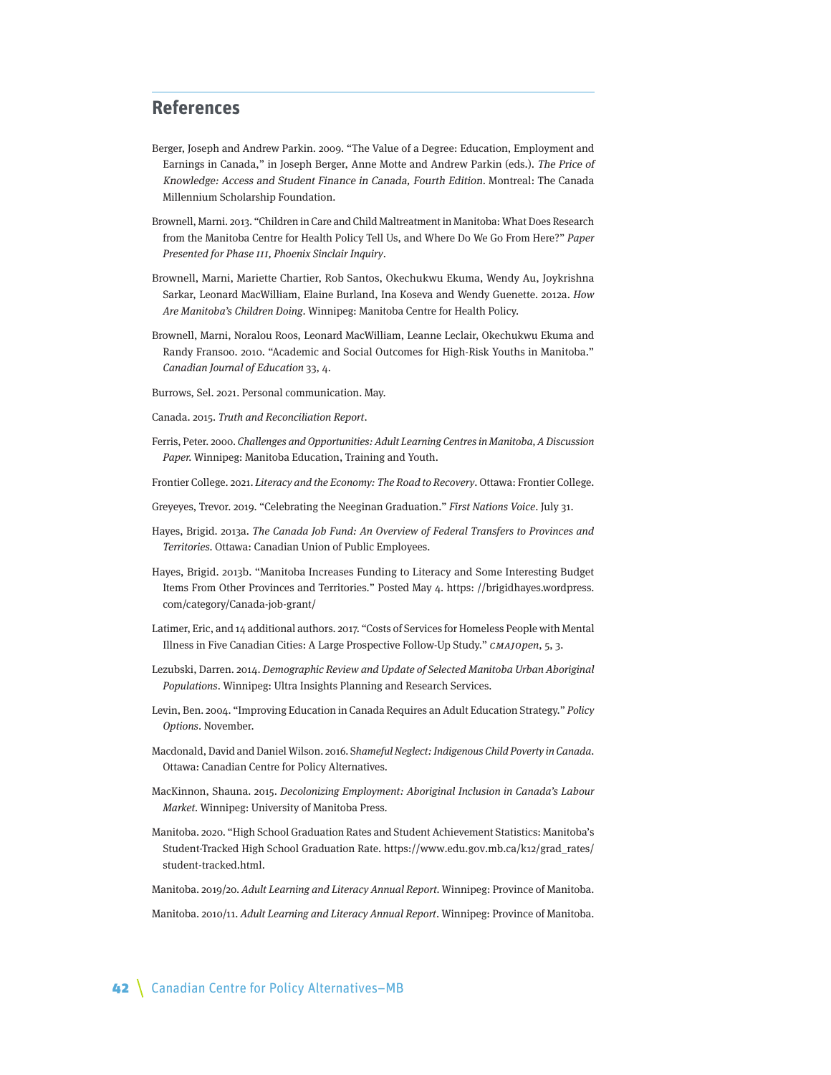### **References**

- Berger, Joseph and Andrew Parkin. 2009. "The Value of a Degree: Education, Employment and Earnings in Canada," in Joseph Berger, Anne Motte and Andrew Parkin (eds.). The Price of Knowledge: Access and Student Finance in Canada, Fourth Edition. Montreal: The Canada Millennium Scholarship Foundation.
- Brownell, Marni. 2013. "Children in Care and Child Maltreatment in Manitoba: What Does Research from the Manitoba Centre for Health Policy Tell Us, and Where Do We Go From Here?" Paper Presented for Phase III, Phoenix Sinclair Inquiry.
- Brownell, Marni, Mariette Chartier, Rob Santos, Okechukwu Ekuma, Wendy Au, Joykrishna Sarkar, Leonard MacWilliam, Elaine Burland, Ina Koseva and Wendy Guenette. 2012a. How Are Manitoba's Children Doing. Winnipeg: Manitoba Centre for Health Policy.
- Brownell, Marni, Noralou Roos, Leonard MacWilliam, Leanne Leclair, Okechukwu Ekuma and Randy Fransoo. 2010. "Academic and Social Outcomes for High-Risk Youths in Manitoba." Canadian Journal of Education 33, 4.
- Burrows, Sel. 2021. Personal communication. May.
- Canada. 2015. Truth and Reconciliation Report.
- Ferris, Peter. 2000. Challenges and Opportunities: Adult Learning Centres in Manitoba, A Discussion Paper. Winnipeg: Manitoba Education, Training and Youth.
- Frontier College. 2021. Literacy and the Economy: The Road to Recovery. Ottawa: Frontier College.
- Greyeyes, Trevor. 2019. "Celebrating the Neeginan Graduation." First Nations Voice. July 31.
- Hayes, Brigid. 2013a. The Canada Job Fund: An Overview of Federal Transfers to Provinces and Territories. Ottawa: Canadian Union of Public Employees.
- Hayes, Brigid. 2013b. "Manitoba Increases Funding to Literacy and Some Interesting Budget Items From Other Provinces and Territories." Posted May 4. https: //brigidhayes.wordpress. com/category/Canada-job-grant/
- Latimer, Eric, and 14 additional authors. 2017. "Costs of Services for Homeless People with Mental Illness in Five Canadian Cities: A Large Prospective Follow-Up Study." CMAJOpen, 5, 3.
- Lezubski, Darren. 2014. Demographic Review and Update of Selected Manitoba Urban Aboriginal Populations. Winnipeg: Ultra Insights Planning and Research Services.
- Levin, Ben. 2004. "Improving Education in Canada Requires an Adult Education Strategy." Policy Options. November.
- Macdonald, David and Daniel Wilson. 2016. Shameful Neglect: Indigenous Child Poverty in Canada. Ottawa: Canadian Centre for Policy Alternatives.
- MacKinnon, Shauna. 2015. Decolonizing Employment: Aboriginal Inclusion in Canada's Labour Market. Winnipeg: University of Manitoba Press.
- Manitoba. 2020. "High School Graduation Rates and Student Achievement Statistics: Manitoba's Student-Tracked High School Graduation Rate. https://www.edu.gov.mb.ca/k12/grad\_rates/ student-tracked.html.
- Manitoba. 2019/20. Adult Learning and Literacy Annual Report. Winnipeg: Province of Manitoba.

Manitoba. 2010/11. Adult Learning and Literacy Annual Report. Winnipeg: Province of Manitoba.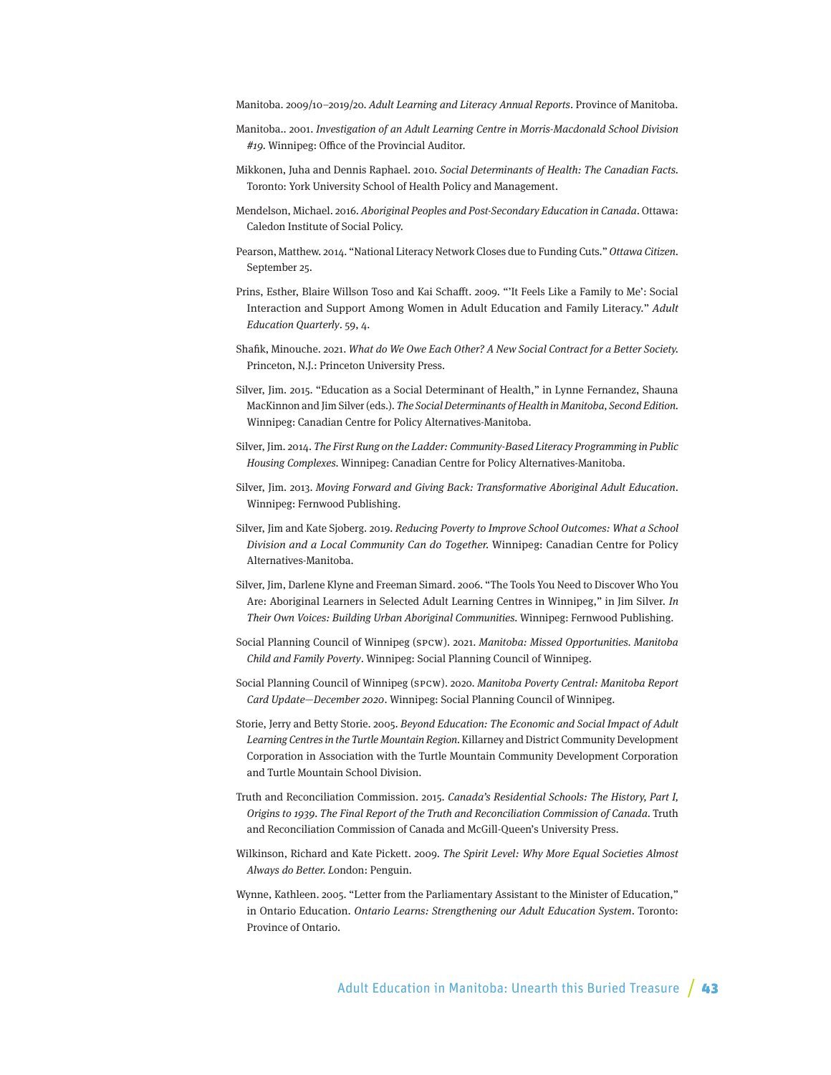Manitoba. 2009/10–2019/20. Adult Learning and Literacy Annual Reports. Province of Manitoba.

- Manitoba.. 2001. Investigation of an Adult Learning Centre in Morris-Macdonald School Division #19. Winnipeg: Office of the Provincial Auditor.
- Mikkonen, Juha and Dennis Raphael. 2010. Social Determinants of Health: The Canadian Facts. Toronto: York University School of Health Policy and Management.
- Mendelson, Michael. 2016. Aboriginal Peoples and Post-Secondary Education in Canada. Ottawa: Caledon Institute of Social Policy.
- Pearson, Matthew. 2014. "National Literacy Network Closes due to Funding Cuts." Ottawa Citizen. September 25.
- Prins, Esther, Blaire Willson Toso and Kai Schafft. 2009. "'It Feels Like a Family to Me': Social Interaction and Support Among Women in Adult Education and Family Literacy." Adult Education Quarterly. 59, 4.
- Shafik, Minouche. 2021. What do We Owe Each Other? A New Social Contract for a Better Society. Princeton, N.J.: Princeton University Press.
- Silver, Jim. 2015. "Education as a Social Determinant of Health," in Lynne Fernandez, Shauna MacKinnon and Jim Silver (eds.). The Social Determinants of Health in Manitoba, Second Edition. Winnipeg: Canadian Centre for Policy Alternatives-Manitoba.
- Silver, Jim. 2014. The First Rung on the Ladder: Community-Based Literacy Programming in Public Housing Complexes. Winnipeg: Canadian Centre for Policy Alternatives-Manitoba.
- Silver, Jim. 2013. Moving Forward and Giving Back: Transformative Aboriginal Adult Education. Winnipeg: Fernwood Publishing.
- Silver, Jim and Kate Sjoberg. 2019. Reducing Poverty to Improve School Outcomes: What a School Division and a Local Community Can do Together. Winnipeg: Canadian Centre for Policy Alternatives-Manitoba.
- Silver, Jim, Darlene Klyne and Freeman Simard. 2006. "The Tools You Need to Discover Who You Are: Aboriginal Learners in Selected Adult Learning Centres in Winnipeg," in Jim Silver. In Their Own Voices: Building Urban Aboriginal Communities. Winnipeg: Fernwood Publishing.
- Social Planning Council of Winnipeg (SPCW). 2021. Manitoba: Missed Opportunities. Manitoba Child and Family Poverty. Winnipeg: Social Planning Council of Winnipeg.
- Social Planning Council of Winnipeg (SPCW). 2020. Manitoba Poverty Central: Manitoba Report Card Update—December 2020. Winnipeg: Social Planning Council of Winnipeg.
- Storie, Jerry and Betty Storie. 2005. Beyond Education: The Economic and Social Impact of Adult Learning Centres in the Turtle Mountain Region. Killarney and District Community Development Corporation in Association with the Turtle Mountain Community Development Corporation and Turtle Mountain School Division.
- Truth and Reconciliation Commission. 2015. Canada's Residential Schools: The History, Part I, Origins to 1939. The Final Report of the Truth and Reconciliation Commission of Canada. Truth and Reconciliation Commission of Canada and McGill-Queen's University Press.
- Wilkinson, Richard and Kate Pickett. 2009. The Spirit Level: Why More Equal Societies Almost Always do Better. London: Penguin.
- Wynne, Kathleen. 2005. "Letter from the Parliamentary Assistant to the Minister of Education," in Ontario Education. Ontario Learns: Strengthening our Adult Education System. Toronto: Province of Ontario.